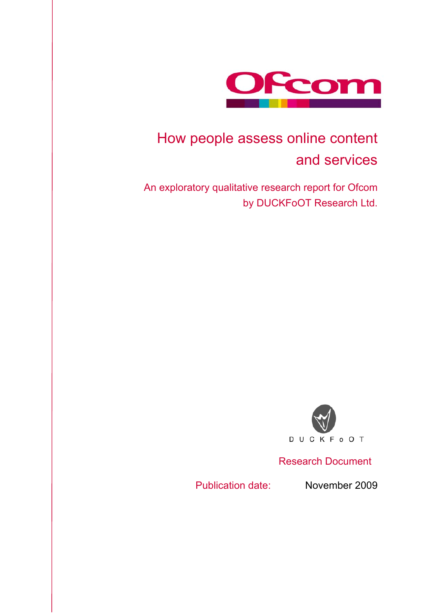

# How people assess online content and services

An exploratory qualitative research report for Ofcom by DUCKFoOT Research Ltd.



# Research Document

Publication date: November 2009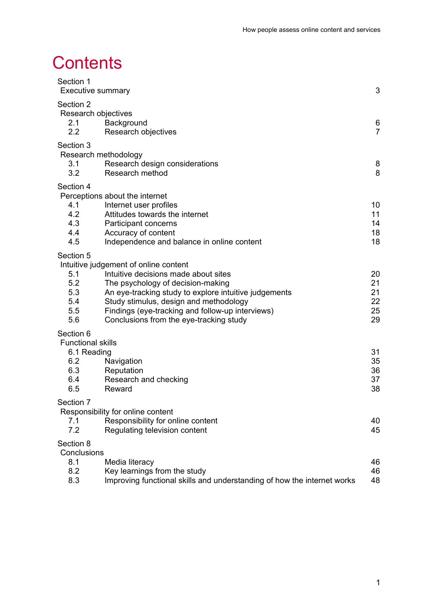# **Contents**

| Section 1                | Executive summary                                                       | 3              |
|--------------------------|-------------------------------------------------------------------------|----------------|
| Section 2                | Research objectives                                                     |                |
| 2.1                      | Background                                                              | 6              |
| 2.2                      | Research objectives                                                     | $\overline{7}$ |
| Section 3                |                                                                         |                |
|                          | Research methodology                                                    |                |
| 3.1                      | Research design considerations                                          | 8              |
| 3.2                      | Research method                                                         | 8              |
| Section 4                |                                                                         |                |
|                          | Perceptions about the internet                                          |                |
| 4.1                      | Internet user profiles                                                  | 10             |
| 4.2                      | Attitudes towards the internet                                          | 11             |
| 4.3                      | Participant concerns                                                    | 14             |
| 4.4                      | Accuracy of content                                                     | 18             |
| 4.5                      | Independence and balance in online content                              | 18             |
| Section 5                |                                                                         |                |
|                          | Intuitive judgement of online content                                   |                |
| 5.1                      | Intuitive decisions made about sites                                    | 20             |
| 5.2                      | The psychology of decision-making                                       | 21             |
| 5.3                      | An eye-tracking study to explore intuitive judgements                   | 21             |
| 5.4                      | Study stimulus, design and methodology                                  | 22             |
| 5.5                      | Findings (eye-tracking and follow-up interviews)                        | 25             |
| 5.6                      | Conclusions from the eye-tracking study                                 | 29             |
| Section 6                |                                                                         |                |
| <b>Functional skills</b> |                                                                         |                |
| 6.1 Reading              |                                                                         | 31             |
| 6.2                      | Navigation                                                              | 35             |
| 6.3                      | Reputation                                                              | 36             |
| 6.4                      | Research and checking                                                   | 37             |
| 6.5                      | Reward                                                                  | 38             |
| Section 7                |                                                                         |                |
|                          | Responsibility for online content                                       |                |
| 7.1                      | Responsibility for online content                                       | 40             |
| 7.2                      | Regulating television content                                           | 45             |
| Section 8<br>Conclusions |                                                                         |                |
| 8.1                      | Media literacy                                                          | 46             |
| 8.2                      | Key learnings from the study                                            | 46             |
| 8.3                      | Improving functional skills and understanding of how the internet works | 48             |
|                          |                                                                         |                |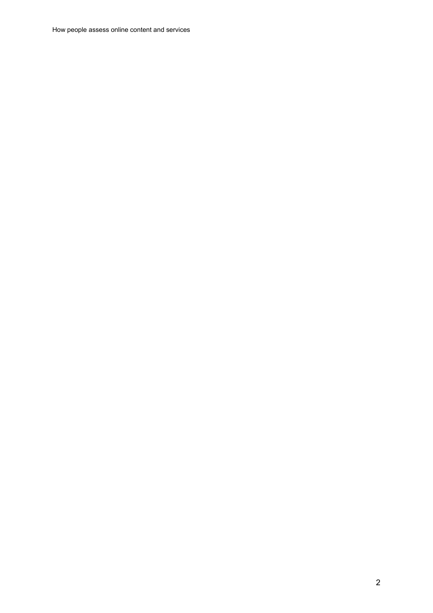How people assess online content and services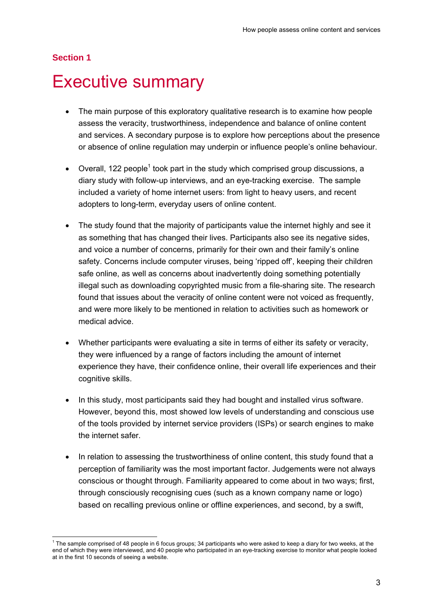# **Section 1**

-

# Executive summary

- The main purpose of this exploratory qualitative research is to examine how people assess the veracity, trustworthiness, independence and balance of online content and services. A secondary purpose is to explore how perceptions about the presence or absence of online regulation may underpin or influence people's online behaviour.
- Overall, 122 people<sup>1</sup> took part in the study which comprised group discussions, a diary study with follow-up interviews, and an eye-tracking exercise. The sample included a variety of home internet users: from light to heavy users, and recent adopters to long-term, everyday users of online content.
- The study found that the majority of participants value the internet highly and see it as something that has changed their lives. Participants also see its negative sides, and voice a number of concerns, primarily for their own and their family's online safety. Concerns include computer viruses, being 'ripped off', keeping their children safe online, as well as concerns about inadvertently doing something potentially illegal such as downloading copyrighted music from a file-sharing site. The research found that issues about the veracity of online content were not voiced as frequently, and were more likely to be mentioned in relation to activities such as homework or medical advice.
- Whether participants were evaluating a site in terms of either its safety or veracity, they were influenced by a range of factors including the amount of internet experience they have, their confidence online, their overall life experiences and their cognitive skills.
- In this study, most participants said they had bought and installed virus software. However, beyond this, most showed low levels of understanding and conscious use of the tools provided by internet service providers (ISPs) or search engines to make the internet safer.
- In relation to assessing the trustworthiness of online content, this study found that a perception of familiarity was the most important factor. Judgements were not always conscious or thought through. Familiarity appeared to come about in two ways; first, through consciously recognising cues (such as a known company name or logo) based on recalling previous online or offline experiences, and second, by a swift,

 $1$  The sample comprised of 48 people in 6 focus groups; 34 participants who were asked to keep a diary for two weeks, at the end of which they were interviewed, and 40 people who participated in an eye-tracking exercise to monitor what people looked at in the first 10 seconds of seeing a website.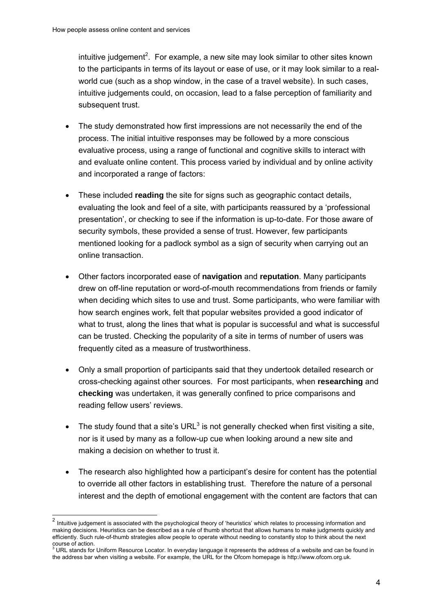1

intuitive judgement<sup>2</sup>. For example, a new site may look similar to other sites known to the participants in terms of its layout or ease of use, or it may look similar to a realworld cue (such as a shop window, in the case of a travel website). In such cases, intuitive judgements could, on occasion, lead to a false perception of familiarity and subsequent trust.

- The study demonstrated how first impressions are not necessarily the end of the process. The initial intuitive responses may be followed by a more conscious evaluative process, using a range of functional and cognitive skills to interact with and evaluate online content. This process varied by individual and by online activity and incorporated a range of factors:
- These included **reading** the site for signs such as geographic contact details, evaluating the look and feel of a site, with participants reassured by a 'professional presentation', or checking to see if the information is up-to-date. For those aware of security symbols, these provided a sense of trust. However, few participants mentioned looking for a padlock symbol as a sign of security when carrying out an online transaction.
- Other factors incorporated ease of **navigation** and **reputation**. Many participants drew on off-line reputation or word-of-mouth recommendations from friends or family when deciding which sites to use and trust. Some participants, who were familiar with how search engines work, felt that popular websites provided a good indicator of what to trust, along the lines that what is popular is successful and what is successful can be trusted. Checking the popularity of a site in terms of number of users was frequently cited as a measure of trustworthiness.
- Only a small proportion of participants said that they undertook detailed research or cross-checking against other sources. For most participants, when **researching** and **checking** was undertaken, it was generally confined to price comparisons and reading fellow users' reviews.
- The study found that a site's URL<sup>3</sup> is not generally checked when first visiting a site, nor is it used by many as a follow-up cue when looking around a new site and making a decision on whether to trust it.
- The research also highlighted how a participant's desire for content has the potential to override all other factors in establishing trust. Therefore the nature of a personal interest and the depth of emotional engagement with the content are factors that can

 $2$  Intuitive judgement is associated with the psychological theory of 'heuristics' which relates to processing information and making decisions. Heuristics can be described as a rule of thumb shortcut that allows humans to make judgments quickly and efficiently. Such rule-of-thumb strategies allow people to operate without needing to constantly stop to think about the next

course of action.<br><sup>3</sup> URL stands for Uniform Resource Locator. In everyday language it represents the address of a website and can be found in the address bar when visiting a website. For example, the URL for the Ofcom homepage is http://www.ofcom.org.uk.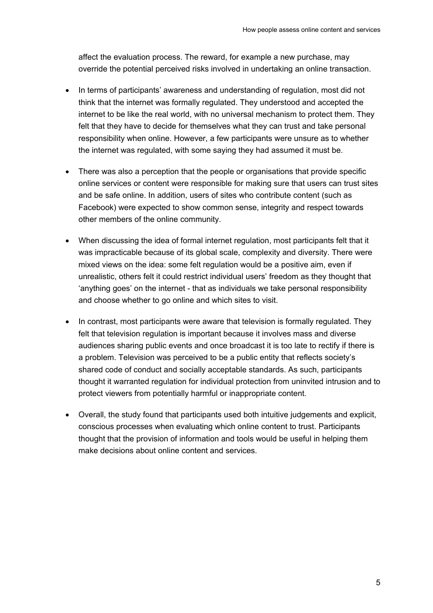affect the evaluation process. The reward, for example a new purchase, may override the potential perceived risks involved in undertaking an online transaction.

- In terms of participants' awareness and understanding of regulation, most did not think that the internet was formally regulated. They understood and accepted the internet to be like the real world, with no universal mechanism to protect them. They felt that they have to decide for themselves what they can trust and take personal responsibility when online. However, a few participants were unsure as to whether the internet was regulated, with some saying they had assumed it must be.
- There was also a perception that the people or organisations that provide specific online services or content were responsible for making sure that users can trust sites and be safe online. In addition, users of sites who contribute content (such as Facebook) were expected to show common sense, integrity and respect towards other members of the online community.
- When discussing the idea of formal internet regulation, most participants felt that it was impracticable because of its global scale, complexity and diversity. There were mixed views on the idea: some felt regulation would be a positive aim, even if unrealistic, others felt it could restrict individual users' freedom as they thought that 'anything goes' on the internet - that as individuals we take personal responsibility and choose whether to go online and which sites to visit.
- In contrast, most participants were aware that television is formally regulated. They felt that television regulation is important because it involves mass and diverse audiences sharing public events and once broadcast it is too late to rectify if there is a problem. Television was perceived to be a public entity that reflects society's shared code of conduct and socially acceptable standards. As such, participants thought it warranted regulation for individual protection from uninvited intrusion and to protect viewers from potentially harmful or inappropriate content.
- Overall, the study found that participants used both intuitive judgements and explicit, conscious processes when evaluating which online content to trust. Participants thought that the provision of information and tools would be useful in helping them make decisions about online content and services.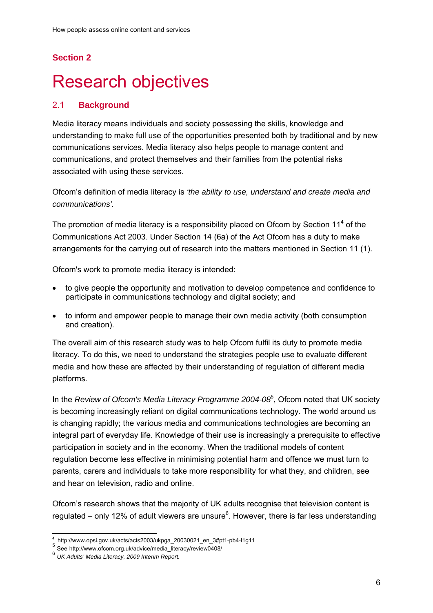# **Section 2**

# Research objectives

# 2.1 **Background**

Media literacy means individuals and society possessing the skills, knowledge and understanding to make full use of the opportunities presented both by traditional and by new communications services. Media literacy also helps people to manage content and communications, and protect themselves and their families from the potential risks associated with using these services.

Ofcom's definition of media literacy is *'the ability to use, understand and create media and communications'.* 

The promotion of media literacy is a responsibility placed on Ofcom by Section  $11<sup>4</sup>$  of the Communications Act 2003. Under Section 14 (6a) of the Act Ofcom has a duty to make arrangements for the carrying out of research into the matters mentioned in Section 11 (1).

Ofcom's work to promote media literacy is intended:

- to give people the opportunity and motivation to develop competence and confidence to participate in communications technology and digital society; and
- to inform and empower people to manage their own media activity (both consumption and creation).

The overall aim of this research study was to help Ofcom fulfil its duty to promote media literacy. To do this, we need to understand the strategies people use to evaluate different media and how these are affected by their understanding of regulation of different media platforms.

In the *Review of Ofcom's Media Literacy Programme 2004-08*<sup>5</sup> , Ofcom noted that UK society is becoming increasingly reliant on digital communications technology. The world around us is changing rapidly; the various media and communications technologies are becoming an integral part of everyday life. Knowledge of their use is increasingly a prerequisite to effective participation in society and in the economy. When the traditional models of content regulation become less effective in minimising potential harm and offence we must turn to parents, carers and individuals to take more responsibility for what they, and children, see and hear on television, radio and online.

Ofcom's research shows that the majority of UK adults recognise that television content is regulated  $-$  only 12% of adult viewers are unsure $6$ . However, there is far less understanding

<sup>1</sup> 4 http://www.opsi.gov.uk/acts/acts2003/ukpga\_20030021\_en\_3#pt1-pb4-l1g11

<sup>5</sup> See http://www.ofcom.org.uk/advice/media\_literacy/review0408/

<sup>6</sup> *UK Adults' Media Literacy, 2009 Interim Report.*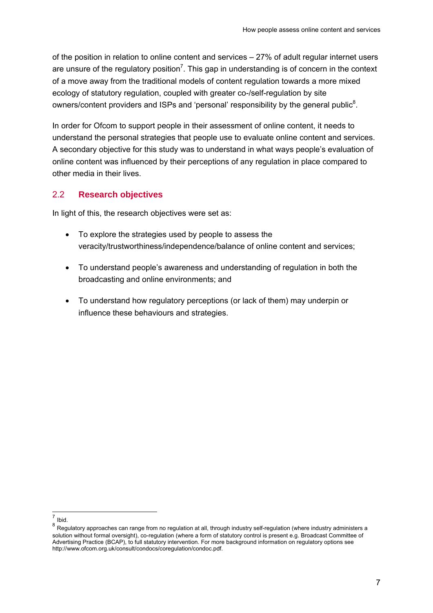of the position in relation to online content and services – 27% of adult regular internet users are unsure of the regulatory position<sup>7</sup>. This gap in understanding is of concern in the context of a move away from the traditional models of content regulation towards a more mixed ecology of statutory regulation, coupled with greater co-/self-regulation by site owners/content providers and ISPs and 'personal' responsibility by the general public<sup>8</sup>.

In order for Ofcom to support people in their assessment of online content, it needs to understand the personal strategies that people use to evaluate online content and services. A secondary objective for this study was to understand in what ways people's evaluation of online content was influenced by their perceptions of any regulation in place compared to other media in their lives.

## 2.2 **Research objectives**

In light of this, the research objectives were set as:

- To explore the strategies used by people to assess the veracity/trustworthiness/independence/balance of online content and services;
- To understand people's awareness and understanding of regulation in both the broadcasting and online environments; and
- To understand how regulatory perceptions (or lack of them) may underpin or influence these behaviours and strategies.

 $\overline{a}$ 

 $<sup>7</sup>$  Ibid.</sup>

<sup>8</sup> Regulatory approaches can range from no regulation at all, through industry self-regulation (where industry administers a solution without formal oversight), co-regulation (where a form of statutory control is present e.g. Broadcast Committee of Advertising Practice (BCAP), to full statutory intervention. For more background information on regulatory options see http://www.ofcom.org.uk/consult/condocs/coregulation/condoc.pdf.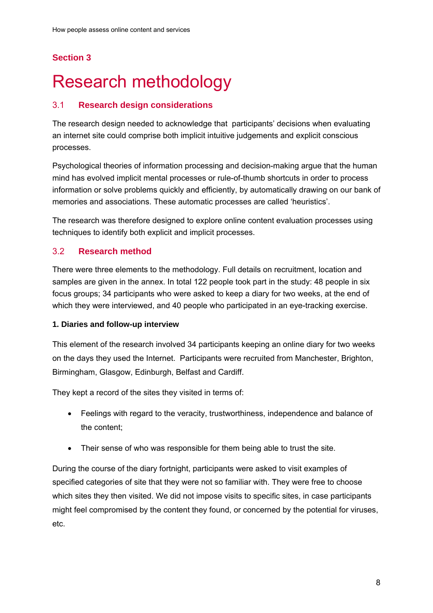# **Section 3**

# Research methodology

# 3.1 **Research design considerations**

The research design needed to acknowledge that participants' decisions when evaluating an internet site could comprise both implicit intuitive judgements and explicit conscious processes.

Psychological theories of information processing and decision-making argue that the human mind has evolved implicit mental processes or rule-of-thumb shortcuts in order to process information or solve problems quickly and efficiently, by automatically drawing on our bank of memories and associations. These automatic processes are called 'heuristics'.

The research was therefore designed to explore online content evaluation processes using techniques to identify both explicit and implicit processes.

# 3.2 **Research method**

There were three elements to the methodology. Full details on recruitment, location and samples are given in the annex. In total 122 people took part in the study: 48 people in six focus groups; 34 participants who were asked to keep a diary for two weeks, at the end of which they were interviewed, and 40 people who participated in an eye-tracking exercise.

## **1. Diaries and follow-up interview**

This element of the research involved 34 participants keeping an online diary for two weeks on the days they used the Internet. Participants were recruited from Manchester, Brighton, Birmingham, Glasgow, Edinburgh, Belfast and Cardiff.

They kept a record of the sites they visited in terms of:

- Feelings with regard to the veracity, trustworthiness, independence and balance of the content;
- Their sense of who was responsible for them being able to trust the site.

During the course of the diary fortnight, participants were asked to visit examples of specified categories of site that they were not so familiar with. They were free to choose which sites they then visited. We did not impose visits to specific sites, in case participants might feel compromised by the content they found, or concerned by the potential for viruses, etc.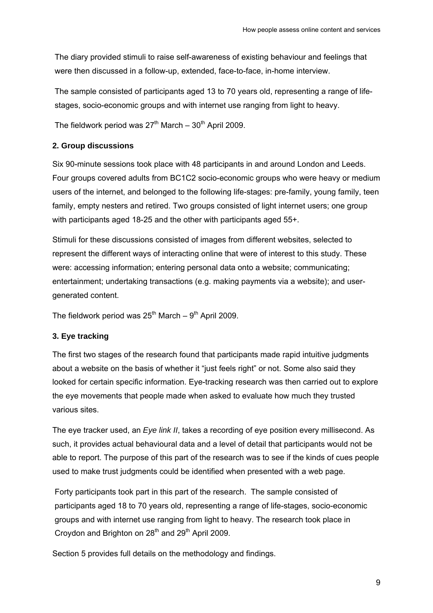The diary provided stimuli to raise self-awareness of existing behaviour and feelings that were then discussed in a follow-up, extended, face-to-face, in-home interview.

The sample consisted of participants aged 13 to 70 years old, representing a range of lifestages, socio-economic groups and with internet use ranging from light to heavy.

The fieldwork period was  $27<sup>th</sup>$  March –  $30<sup>th</sup>$  April 2009.

### **2. Group discussions**

Six 90-minute sessions took place with 48 participants in and around London and Leeds. Four groups covered adults from BC1C2 socio-economic groups who were heavy or medium users of the internet, and belonged to the following life-stages: pre-family, young family, teen family, empty nesters and retired. Two groups consisted of light internet users; one group with participants aged 18-25 and the other with participants aged 55+.

Stimuli for these discussions consisted of images from different websites, selected to represent the different ways of interacting online that were of interest to this study. These were: accessing information; entering personal data onto a website; communicating; entertainment; undertaking transactions (e.g. making payments via a website); and usergenerated content.

The fieldwork period was  $25<sup>th</sup>$  March –  $9<sup>th</sup>$  April 2009.

## **3. Eye tracking**

The first two stages of the research found that participants made rapid intuitive judgments about a website on the basis of whether it "just feels right" or not. Some also said they looked for certain specific information. Eye-tracking research was then carried out to explore the eye movements that people made when asked to evaluate how much they trusted various sites.

The eye tracker used, an *Eye link II*, takes a recording of eye position every millisecond. As such, it provides actual behavioural data and a level of detail that participants would not be able to report. The purpose of this part of the research was to see if the kinds of cues people used to make trust judgments could be identified when presented with a web page.

Forty participants took part in this part of the research. The sample consisted of participants aged 18 to 70 years old, representing a range of life-stages, socio-economic groups and with internet use ranging from light to heavy. The research took place in Croydon and Brighton on  $28<sup>th</sup>$  and  $29<sup>th</sup>$  April 2009.

Section 5 provides full details on the methodology and findings.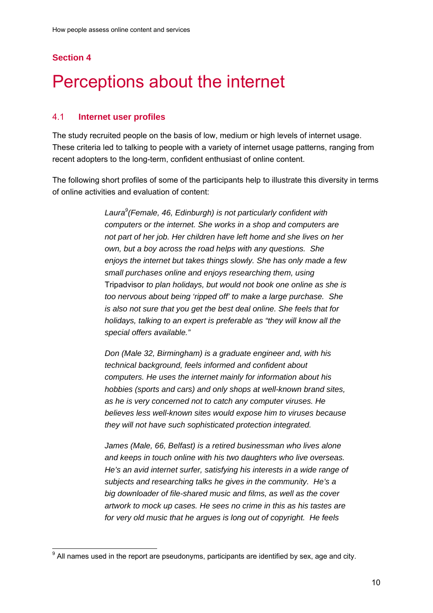# **Section 4**

# Perceptions about the internet

## 4.1 **Internet user profiles**

The study recruited people on the basis of low, medium or high levels of internet usage. These criteria led to talking to people with a variety of internet usage patterns, ranging from recent adopters to the long-term, confident enthusiast of online content.

The following short profiles of some of the participants help to illustrate this diversity in terms of online activities and evaluation of content:

> *Laura<sup>9</sup> (Female, 46, Edinburgh) is not particularly confident with computers or the internet. She works in a shop and computers are not part of her job. Her children have left home and she lives on her own, but a boy across the road helps with any questions. She enjoys the internet but takes things slowly. She has only made a few small purchases online and enjoys researching them, using*  Tripadvisor *to plan holidays, but would not book one online as she is too nervous about being 'ripped off' to make a large purchase. She is also not sure that you get the best deal online. She feels that for holidays, talking to an expert is preferable as "they will know all the special offers available."*

> *Don (Male 32, Birmingham) is a graduate engineer and, with his technical background, feels informed and confident about computers. He uses the internet mainly for information about his hobbies (sports and cars) and only shops at well-known brand sites, as he is very concerned not to catch any computer viruses. He believes less well-known sites would expose him to viruses because they will not have such sophisticated protection integrated.*

*James (Male, 66, Belfast) is a retired businessman who lives alone and keeps in touch online with his two daughters who live overseas. He's an avid internet surfer, satisfying his interests in a wide range of subjects and researching talks he gives in the community. He's a big downloader of file-shared music and films, as well as the cover artwork to mock up cases. He sees no crime in this as his tastes are for very old music that he argues is long out of copyright. He feels* 

entilative manniton and the metal metal and the metal of the responsence the reports of all names used in the report are pseudonyms, participants are identified by sex, age and city.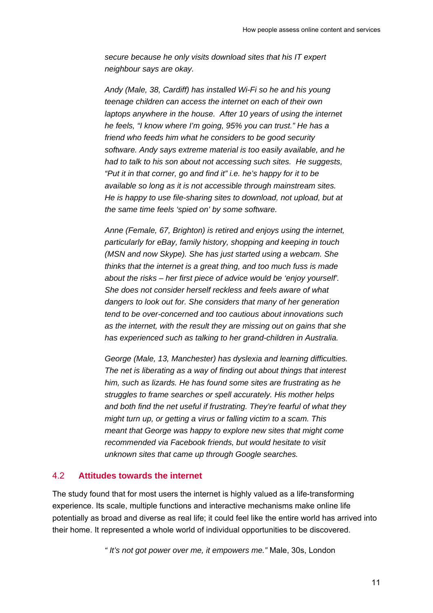*secure because he only visits download sites that his IT expert neighbour says are okay.* 

*Andy (Male, 38, Cardiff) has installed Wi-Fi so he and his young teenage children can access the internet on each of their own laptops anywhere in the house. After 10 years of using the internet he feels, "I know where I'm going, 95% you can trust." He has a friend who feeds him what he considers to be good security software. Andy says extreme material is too easily available, and he had to talk to his son about not accessing such sites. He suggests, "Put it in that corner, go and find it" i.e. he's happy for it to be available so long as it is not accessible through mainstream sites. He is happy to use file-sharing sites to download, not upload, but at the same time feels 'spied on' by some software.* 

*Anne (Female, 67, Brighton) is retired and enjoys using the internet, particularly for eBay, family history, shopping and keeping in touch (MSN and now Skype). She has just started using a webcam. She thinks that the internet is a great thing, and too much fuss is made about the risks – her first piece of advice would be 'enjoy yourself'. She does not consider herself reckless and feels aware of what dangers to look out for. She considers that many of her generation tend to be over-concerned and too cautious about innovations such as the internet, with the result they are missing out on gains that she has experienced such as talking to her grand-children in Australia.* 

*George (Male, 13, Manchester) has dyslexia and learning difficulties. The net is liberating as a way of finding out about things that interest him, such as lizards. He has found some sites are frustrating as he struggles to frame searches or spell accurately. His mother helps and both find the net useful if frustrating. They're fearful of what they might turn up, or getting a virus or falling victim to a scam. This meant that George was happy to explore new sites that might come recommended via Facebook friends, but would hesitate to visit unknown sites that came up through Google searches.* 

#### 4.2 **Attitudes towards the internet**

The study found that for most users the internet is highly valued as a life-transforming experience. Its scale, multiple functions and interactive mechanisms make online life potentially as broad and diverse as real life; it could feel like the entire world has arrived into their home. It represented a whole world of individual opportunities to be discovered.

*" It's not got power over me, it empowers me."* Male, 30s, London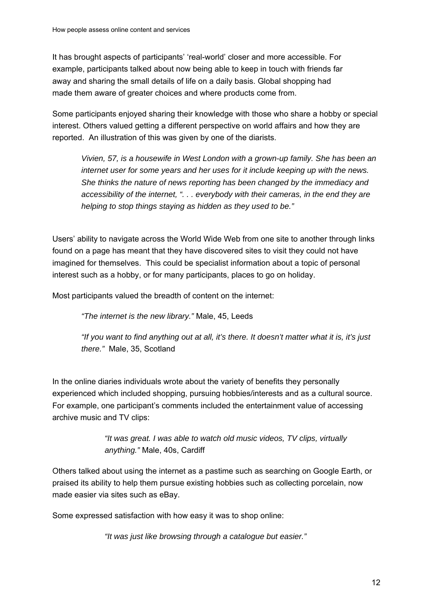It has brought aspects of participants' 'real-world' closer and more accessible. For example, participants talked about now being able to keep in touch with friends far away and sharing the small details of life on a daily basis. Global shopping had made them aware of greater choices and where products come from.

Some participants enjoyed sharing their knowledge with those who share a hobby or special interest. Others valued getting a different perspective on world affairs and how they are reported. An illustration of this was given by one of the diarists.

*Vivien, 57, is a housewife in West London with a grown-up family. She has been an internet user for some years and her uses for it include keeping up with the news. She thinks the nature of news reporting has been changed by the immediacy and accessibility of the internet, ". . . everybody with their cameras, in the end they are helping to stop things staying as hidden as they used to be."* 

Users' ability to navigate across the World Wide Web from one site to another through links found on a page has meant that they have discovered sites to visit they could not have imagined for themselves. This could be specialist information about a topic of personal interest such as a hobby, or for many participants, places to go on holiday.

Most participants valued the breadth of content on the internet:

*"The internet is the new library."* Male, 45, Leeds

*"If you want to find anything out at all, it's there. It doesn't matter what it is, it's just there."* Male, 35, Scotland

In the online diaries individuals wrote about the variety of benefits they personally experienced which included shopping, pursuing hobbies/interests and as a cultural source. For example, one participant's comments included the entertainment value of accessing archive music and TV clips:

> *"It was great. I was able to watch old music videos, TV clips, virtually anything."* Male, 40s, Cardiff

Others talked about using the internet as a pastime such as searching on Google Earth, or praised its ability to help them pursue existing hobbies such as collecting porcelain, now made easier via sites such as eBay.

Some expressed satisfaction with how easy it was to shop online:

*"It was just like browsing through a catalogue but easier."*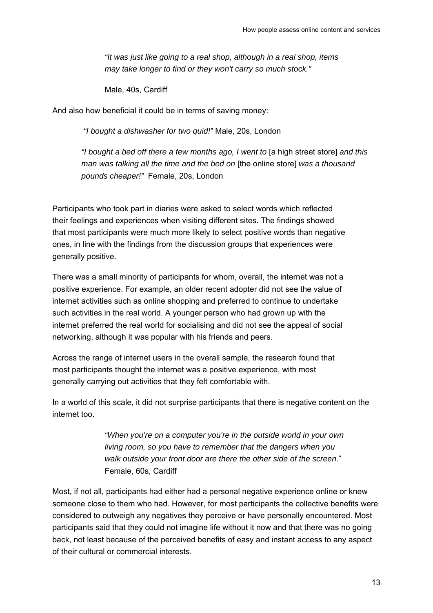*"It was just like going to a real shop, although in a real shop, items may take longer to find or they won't carry so much stock."* 

Male, 40s, Cardiff

And also how beneficial it could be in terms of saving money:

 *"I bought a dishwasher for two quid!"* Male, 20s, London

*"I bought a bed off there a few months ago, I went to* [a high street store] *and this man was talking all the time and the bed on* [the online store] *was a thousand pounds cheaper!"* Female, 20s, London

Participants who took part in diaries were asked to select words which reflected their feelings and experiences when visiting different sites. The findings showed that most participants were much more likely to select positive words than negative ones, in line with the findings from the discussion groups that experiences were generally positive.

There was a small minority of participants for whom, overall, the internet was not a positive experience. For example, an older recent adopter did not see the value of internet activities such as online shopping and preferred to continue to undertake such activities in the real world. A younger person who had grown up with the internet preferred the real world for socialising and did not see the appeal of social networking, although it was popular with his friends and peers.

Across the range of internet users in the overall sample, the research found that most participants thought the internet was a positive experience, with most generally carrying out activities that they felt comfortable with.

In a world of this scale, it did not surprise participants that there is negative content on the internet too.

> *"When you're on a computer you're in the outside world in your own living room, so you have to remember that the dangers when you walk outside your front door are there the other side of the screen*." Female, 60s, Cardiff

Most, if not all, participants had either had a personal negative experience online or knew someone close to them who had. However, for most participants the collective benefits were considered to outweigh any negatives they perceive or have personally encountered. Most participants said that they could not imagine life without it now and that there was no going back, not least because of the perceived benefits of easy and instant access to any aspect of their cultural or commercial interests.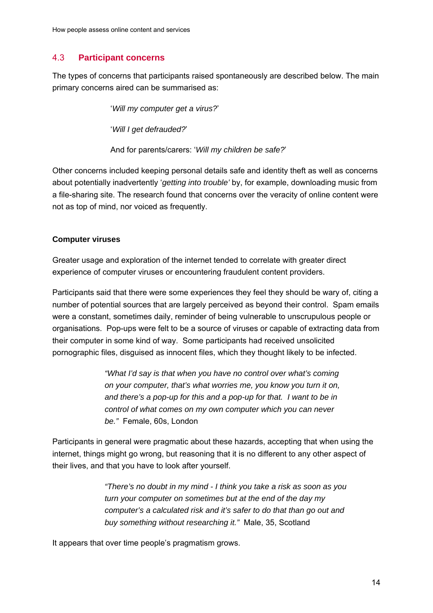## 4.3 **Participant concerns**

The types of concerns that participants raised spontaneously are described below. The main primary concerns aired can be summarised as:

'*Will my computer get a virus?*'

'*Will I get defrauded?*'

And for parents/carers: '*Will my children be safe?*'

Other concerns included keeping personal details safe and identity theft as well as concerns about potentially inadvertently '*getting into trouble'* by, for example, downloading music from a file-sharing site. The research found that concerns over the veracity of online content were not as top of mind, nor voiced as frequently.

## **Computer viruses**

Greater usage and exploration of the internet tended to correlate with greater direct experience of computer viruses or encountering fraudulent content providers.

Participants said that there were some experiences they feel they should be wary of, citing a number of potential sources that are largely perceived as beyond their control. Spam emails were a constant, sometimes daily, reminder of being vulnerable to unscrupulous people or organisations. Pop-ups were felt to be a source of viruses or capable of extracting data from their computer in some kind of way. Some participants had received unsolicited pornographic files, disguised as innocent files, which they thought likely to be infected.

> *"What I'd say is that when you have no control over what's coming on your computer, that's what worries me, you know you turn it on, and there's a pop-up for this and a pop-up for that. I want to be in control of what comes on my own computer which you can never be."* Female, 60s, London

Participants in general were pragmatic about these hazards, accepting that when using the internet, things might go wrong, but reasoning that it is no different to any other aspect of their lives, and that you have to look after yourself.

> *"There's no doubt in my mind - I think you take a risk as soon as you turn your computer on sometimes but at the end of the day my computer's a calculated risk and it's safer to do that than go out and buy something without researching it."* Male, 35, Scotland

It appears that over time people's pragmatism grows.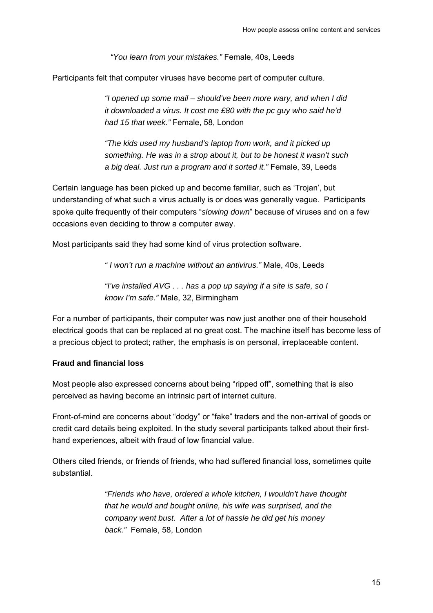*"You learn from your mistakes."* Female, 40s, Leeds

Participants felt that computer viruses have become part of computer culture.

*"I opened up some mail – should've been more wary, and when I did it downloaded a virus. It cost me £80 with the pc guy who said he'd had 15 that week."* Female, 58, London

*"The kids used my husband's laptop from work, and it picked up something. He was in a strop about it, but to be honest it wasn't such a big deal. Just run a program and it sorted it."* Female, 39, Leeds

Certain language has been picked up and become familiar, such as 'Trojan', but understanding of what such a virus actually is or does was generally vague. Participants spoke quite frequently of their computers "*slowing down*" because of viruses and on a few occasions even deciding to throw a computer away.

Most participants said they had some kind of virus protection software.

*" I won't run a machine without an antivirus."* Male, 40s, Leeds

*"I've installed AVG . . . has a pop up saying if a site is safe, so I know I'm safe."* Male, 32, Birmingham

For a number of participants, their computer was now just another one of their household electrical goods that can be replaced at no great cost. The machine itself has become less of a precious object to protect; rather, the emphasis is on personal, irreplaceable content.

## **Fraud and financial loss**

Most people also expressed concerns about being "ripped off", something that is also perceived as having become an intrinsic part of internet culture.

Front-of-mind are concerns about "dodgy" or "fake" traders and the non-arrival of goods or credit card details being exploited. In the study several participants talked about their firsthand experiences, albeit with fraud of low financial value.

Others cited friends, or friends of friends, who had suffered financial loss, sometimes quite substantial.

> *"Friends who have, ordered a whole kitchen, I wouldn't have thought that he would and bought online, his wife was surprised, and the company went bust. After a lot of hassle he did get his money back."* Female, 58, London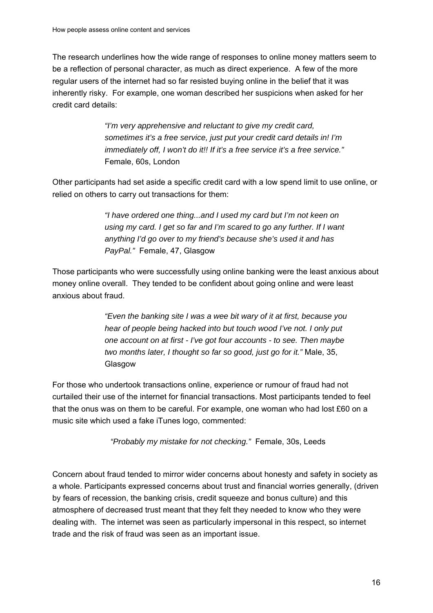The research underlines how the wide range of responses to online money matters seem to be a reflection of personal character, as much as direct experience. A few of the more regular users of the internet had so far resisted buying online in the belief that it was inherently risky. For example, one woman described her suspicions when asked for her credit card details:

> *"I'm very apprehensive and reluctant to give my credit card, sometimes it's a free service, just put your credit card details in! I'm immediately off, I won't do it!! If it's a free service it's a free service."*  Female, 60s, London

Other participants had set aside a specific credit card with a low spend limit to use online, or relied on others to carry out transactions for them:

> *"I have ordered one thing...and I used my card but I'm not keen on using my card. I get so far and I'm scared to go any further. If I want anything I'd go over to my friend's because she's used it and has PayPal."* Female, 47, Glasgow

Those participants who were successfully using online banking were the least anxious about money online overall. They tended to be confident about going online and were least anxious about fraud.

> *"Even the banking site I was a wee bit wary of it at first, because you hear of people being hacked into but touch wood I've not. I only put one account on at first - I've got four accounts - to see. Then maybe two months later, I thought so far so good, just go for it."* Male, 35, Glasgow

For those who undertook transactions online, experience or rumour of fraud had not curtailed their use of the internet for financial transactions. Most participants tended to feel that the onus was on them to be careful. For example, one woman who had lost £60 on a music site which used a fake iTunes logo, commented:

*"Probably my mistake for not checking."* Female, 30s, Leeds

Concern about fraud tended to mirror wider concerns about honesty and safety in society as a whole. Participants expressed concerns about trust and financial worries generally, (driven by fears of recession, the banking crisis, credit squeeze and bonus culture) and this atmosphere of decreased trust meant that they felt they needed to know who they were dealing with. The internet was seen as particularly impersonal in this respect, so internet trade and the risk of fraud was seen as an important issue.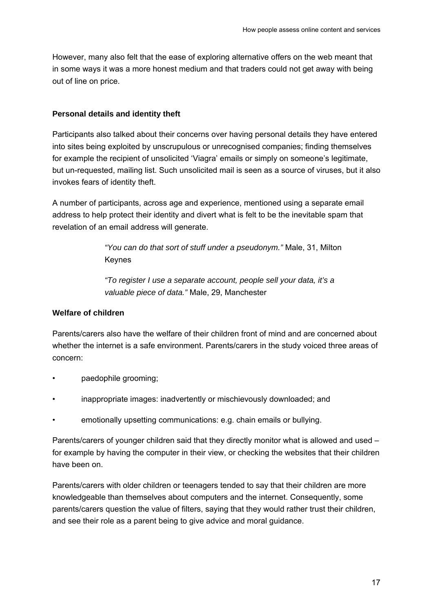However, many also felt that the ease of exploring alternative offers on the web meant that in some ways it was a more honest medium and that traders could not get away with being out of line on price.

#### **Personal details and identity theft**

Participants also talked about their concerns over having personal details they have entered into sites being exploited by unscrupulous or unrecognised companies; finding themselves for example the recipient of unsolicited 'Viagra' emails or simply on someone's legitimate, but un-requested, mailing list. Such unsolicited mail is seen as a source of viruses, but it also invokes fears of identity theft.

A number of participants, across age and experience, mentioned using a separate email address to help protect their identity and divert what is felt to be the inevitable spam that revelation of an email address will generate.

> *"You can do that sort of stuff under a pseudonym."* Male, 31, Milton Keynes

*"To register I use a separate account, people sell your data, it's a valuable piece of data."* Male, 29, Manchester

## **Welfare of children**

Parents/carers also have the welfare of their children front of mind and are concerned about whether the internet is a safe environment. Parents/carers in the study voiced three areas of concern:

- paedophile grooming;
- inappropriate images: inadvertently or mischievously downloaded; and
- emotionally upsetting communications: e.g. chain emails or bullying.

Parents/carers of younger children said that they directly monitor what is allowed and used – for example by having the computer in their view, or checking the websites that their children have been on.

Parents/carers with older children or teenagers tended to say that their children are more knowledgeable than themselves about computers and the internet. Consequently, some parents/carers question the value of filters, saying that they would rather trust their children, and see their role as a parent being to give advice and moral guidance.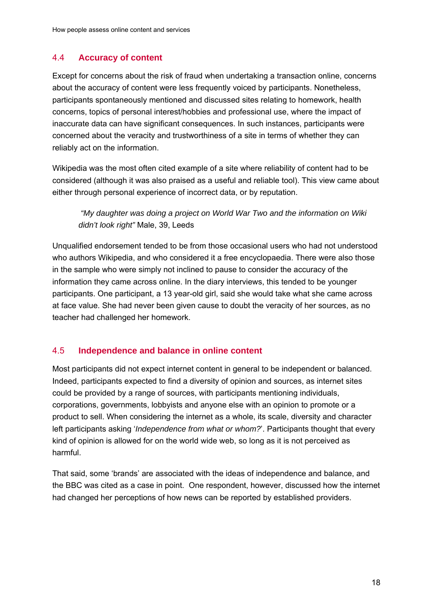# 4.4 **Accuracy of content**

Except for concerns about the risk of fraud when undertaking a transaction online, concerns about the accuracy of content were less frequently voiced by participants. Nonetheless, participants spontaneously mentioned and discussed sites relating to homework, health concerns, topics of personal interest/hobbies and professional use, where the impact of inaccurate data can have significant consequences. In such instances, participants were concerned about the veracity and trustworthiness of a site in terms of whether they can reliably act on the information.

Wikipedia was the most often cited example of a site where reliability of content had to be considered (although it was also praised as a useful and reliable tool). This view came about either through personal experience of incorrect data, or by reputation.

 *"My daughter was doing a project on World War Two and the information on Wiki didn't look right"* Male, 39, Leeds

Unqualified endorsement tended to be from those occasional users who had not understood who authors Wikipedia, and who considered it a free encyclopaedia. There were also those in the sample who were simply not inclined to pause to consider the accuracy of the information they came across online. In the diary interviews, this tended to be younger participants. One participant, a 13 year-old girl, said she would take what she came across at face value. She had never been given cause to doubt the veracity of her sources, as no teacher had challenged her homework.

# 4.5 **Independence and balance in online content**

Most participants did not expect internet content in general to be independent or balanced. Indeed, participants expected to find a diversity of opinion and sources, as internet sites could be provided by a range of sources, with participants mentioning individuals, corporations, governments, lobbyists and anyone else with an opinion to promote or a product to sell. When considering the internet as a whole, its scale, diversity and character left participants asking '*Independence from what or whom?*'. Participants thought that every kind of opinion is allowed for on the world wide web, so long as it is not perceived as harmful.

That said, some 'brands' are associated with the ideas of independence and balance, and the BBC was cited as a case in point. One respondent, however, discussed how the internet had changed her perceptions of how news can be reported by established providers.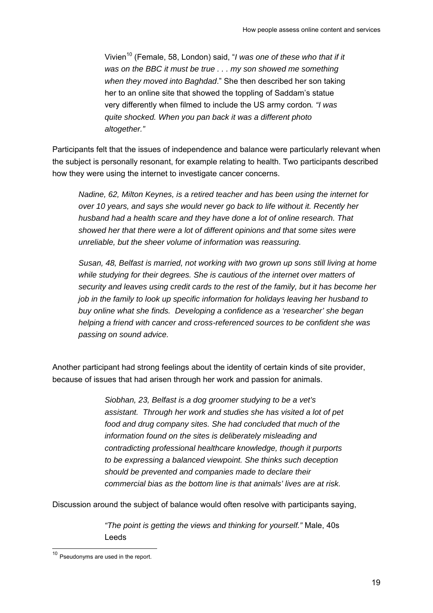Vivien10 (Female, 58, London) said, "*I was one of these who that if it was on the BBC it must be true . . . my son showed me something when they moved into Baghdad*." She then described her son taking her to an online site that showed the toppling of Saddam's statue very differently when filmed to include the US army cordon*. "I was quite shocked. When you pan back it was a different photo altogether."*

Participants felt that the issues of independence and balance were particularly relevant when the subject is personally resonant, for example relating to health. Two participants described how they were using the internet to investigate cancer concerns.

*Nadine, 62, Milton Keynes, is a retired teacher and has been using the internet for over 10 years, and says she would never go back to life without it. Recently her husband had a health scare and they have done a lot of online research. That showed her that there were a lot of different opinions and that some sites were unreliable, but the sheer volume of information was reassuring.* 

*Susan, 48, Belfast is married, not working with two grown up sons still living at home while studying for their degrees. She is cautious of the internet over matters of security and leaves using credit cards to the rest of the family, but it has become her job in the family to look up specific information for holidays leaving her husband to buy online what she finds. Developing a confidence as a 'researcher' she began helping a friend with cancer and cross-referenced sources to be confident she was passing on sound advice.* 

Another participant had strong feelings about the identity of certain kinds of site provider, because of issues that had arisen through her work and passion for animals.

> *Siobhan, 23, Belfast is a dog groomer studying to be a vet's assistant. Through her work and studies she has visited a lot of pet food and drug company sites. She had concluded that much of the information found on the sites is deliberately misleading and contradicting professional healthcare knowledge, though it purports to be expressing a balanced viewpoint. She thinks such deception should be prevented and companies made to declare their commercial bias as the bottom line is that animals' lives are at risk.*

Discussion around the subject of balance would often resolve with participants saying,

*"The point is getting the views and thinking for yourself."* Male, 40s Leeds

 $\overline{a}$ 

<sup>&</sup>lt;sup>10</sup> Pseudonyms are used in the report.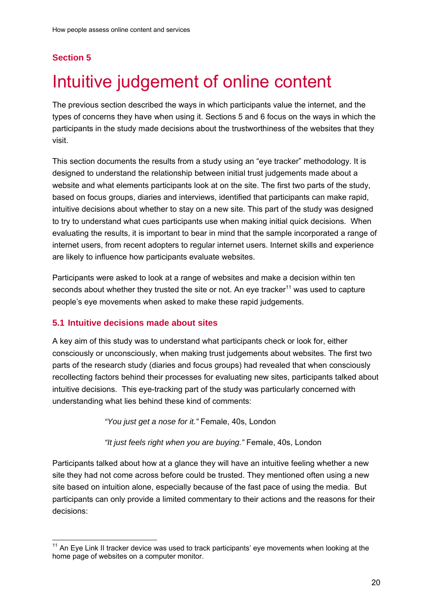# **Section 5**

# Intuitive judgement of online content

The previous section described the ways in which participants value the internet, and the types of concerns they have when using it. Sections 5 and 6 focus on the ways in which the participants in the study made decisions about the trustworthiness of the websites that they visit.

This section documents the results from a study using an "eye tracker" methodology. It is designed to understand the relationship between initial trust judgements made about a website and what elements participants look at on the site. The first two parts of the study, based on focus groups, diaries and interviews, identified that participants can make rapid, intuitive decisions about whether to stay on a new site. This part of the study was designed to try to understand what cues participants use when making initial quick decisions. When evaluating the results, it is important to bear in mind that the sample incorporated a range of internet users, from recent adopters to regular internet users. Internet skills and experience are likely to influence how participants evaluate websites.

Participants were asked to look at a range of websites and make a decision within ten seconds about whether they trusted the site or not. An eye tracker $11$  was used to capture people's eye movements when asked to make these rapid judgements.

# **5.1 Intuitive decisions made about sites**

A key aim of this study was to understand what participants check or look for, either consciously or unconsciously, when making trust judgements about websites. The first two parts of the research study (diaries and focus groups) had revealed that when consciously recollecting factors behind their processes for evaluating new sites, participants talked about intuitive decisions. This eye-tracking part of the study was particularly concerned with understanding what lies behind these kind of comments:

*"You just get a nose for it."* Female, 40s, London

*"It just feels right when you are buying."* Female, 40s, London

Participants talked about how at a glance they will have an intuitive feeling whether a new site they had not come across before could be trusted. They mentioned often using a new site based on intuition alone, especially because of the fast pace of using the media. But participants can only provide a limited commentary to their actions and the reasons for their decisions:

<sup>1</sup>  $11$  An Eye Link II tracker device was used to track participants' eye movements when looking at the home page of websites on a computer monitor.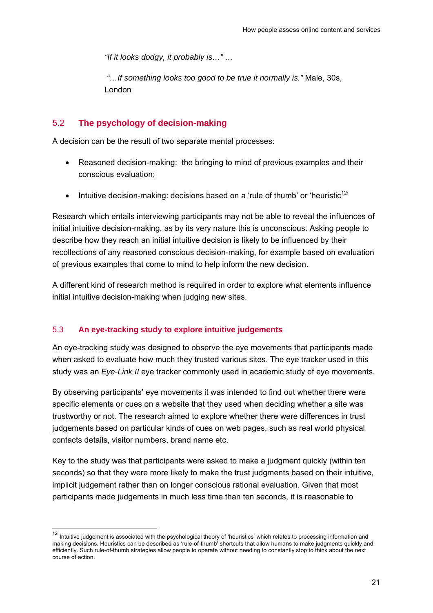*"If it looks dodgy, it probably is…" …* 

 *"…If something looks too good to be true it normally is."* Male, 30s, London

## 5.2 **The psychology of decision-making**

A decision can be the result of two separate mental processes:

- Reasoned decision-making: the bringing to mind of previous examples and their conscious evaluation;
- $\bullet$  Intuitive decision-making: decisions based on a 'rule of thumb' or 'heuristic<sup>12</sup>'

Research which entails interviewing participants may not be able to reveal the influences of initial intuitive decision-making, as by its very nature this is unconscious. Asking people to describe how they reach an initial intuitive decision is likely to be influenced by their recollections of any reasoned conscious decision-making, for example based on evaluation of previous examples that come to mind to help inform the new decision.

A different kind of research method is required in order to explore what elements influence initial intuitive decision-making when judging new sites.

## 5.3 **An eye-tracking study to explore intuitive judgements**

1

An eye-tracking study was designed to observe the eye movements that participants made when asked to evaluate how much they trusted various sites. The eye tracker used in this study was an *Eye-Link II* eye tracker commonly used in academic study of eye movements.

By observing participants' eye movements it was intended to find out whether there were specific elements or cues on a website that they used when deciding whether a site was trustworthy or not. The research aimed to explore whether there were differences in trust judgements based on particular kinds of cues on web pages, such as real world physical contacts details, visitor numbers, brand name etc.

Key to the study was that participants were asked to make a judgment quickly (within ten seconds) so that they were more likely to make the trust judgments based on their intuitive, implicit judgement rather than on longer conscious rational evaluation. Given that most participants made judgements in much less time than ten seconds, it is reasonable to

<sup>&</sup>lt;sup>12</sup> Intuitive judgement is associated with the psychological theory of 'heuristics' which relates to processing information and making decisions. Heuristics can be described as 'rule-of-thumb' shortcuts that allow humans to make judgments quickly and efficiently. Such rule-of-thumb strategies allow people to operate without needing to constantly stop to think about the next course of action.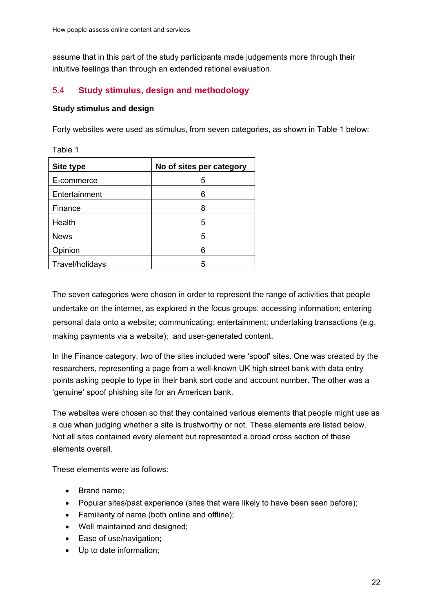assume that in this part of the study participants made judgements more through their intuitive feelings than through an extended rational evaluation.

## 5.4 **Study stimulus, design and methodology**

#### **Study stimulus and design**

Forty websites were used as stimulus, from seven categories, as shown in Table 1 below:

| Site type       | No of sites per category |
|-----------------|--------------------------|
| E-commerce      | 5                        |
| Entertainment   | 6                        |
| Finance         | 8                        |
| Health          | 5                        |
| <b>News</b>     | 5                        |
| Opinion         | 6                        |
| Travel/holidays | 5                        |

Table 1

The seven categories were chosen in order to represent the range of activities that people undertake on the internet, as explored in the focus groups: accessing information; entering personal data onto a website; communicating; entertainment; undertaking transactions (e.g. making payments via a website); and user-generated content.

In the Finance category, two of the sites included were 'spoof' sites. One was created by the researchers, representing a page from a well-known UK high street bank with data entry points asking people to type in their bank sort code and account number. The other was a 'genuine' spoof phishing site for an American bank.

The websites were chosen so that they contained various elements that people might use as a cue when judging whether a site is trustworthy or not. These elements are listed below. Not all sites contained every element but represented a broad cross section of these elements overall.

These elements were as follows:

- Brand name:
- Popular sites/past experience (sites that were likely to have been seen before);
- Familiarity of name (both online and offline);
- Well maintained and designed;
- Ease of use/navigation;
- Up to date information;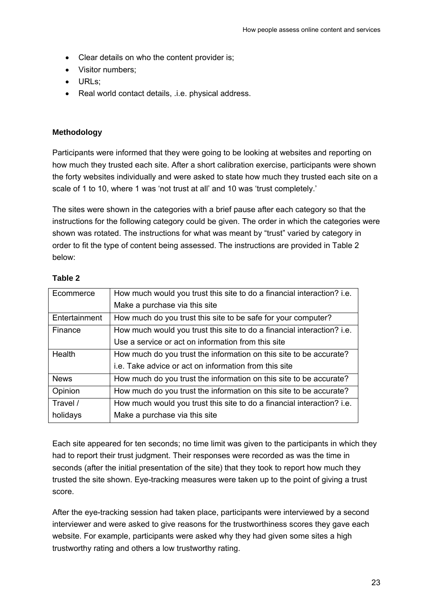- Clear details on who the content provider is;
- Visitor numbers;
- URLs;
- Real world contact details, *i.e.* physical address.

#### **Methodology**

Participants were informed that they were going to be looking at websites and reporting on how much they trusted each site. After a short calibration exercise, participants were shown the forty websites individually and were asked to state how much they trusted each site on a scale of 1 to 10, where 1 was 'not trust at all' and 10 was 'trust completely.'

The sites were shown in the categories with a brief pause after each category so that the instructions for the following category could be given. The order in which the categories were shown was rotated. The instructions for what was meant by "trust" varied by category in order to fit the type of content being assessed. The instructions are provided in Table 2 below:

#### **Table 2**

| Ecommerce     | How much would you trust this site to do a financial interaction? i.e. |
|---------------|------------------------------------------------------------------------|
|               | Make a purchase via this site                                          |
| Entertainment | How much do you trust this site to be safe for your computer?          |
| Finance       | How much would you trust this site to do a financial interaction? i.e. |
|               | Use a service or act on information from this site                     |
| Health        | How much do you trust the information on this site to be accurate?     |
|               | i.e. Take advice or act on information from this site                  |
| <b>News</b>   | How much do you trust the information on this site to be accurate?     |
| Opinion       | How much do you trust the information on this site to be accurate?     |
| Travel /      | How much would you trust this site to do a financial interaction? i.e. |
| holidays      | Make a purchase via this site                                          |

Each site appeared for ten seconds; no time limit was given to the participants in which they had to report their trust judgment. Their responses were recorded as was the time in seconds (after the initial presentation of the site) that they took to report how much they trusted the site shown. Eye-tracking measures were taken up to the point of giving a trust score.

After the eye-tracking session had taken place, participants were interviewed by a second interviewer and were asked to give reasons for the trustworthiness scores they gave each website. For example, participants were asked why they had given some sites a high trustworthy rating and others a low trustworthy rating.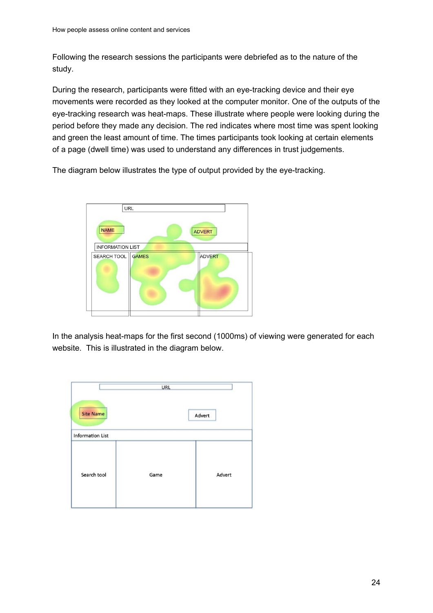Following the research sessions the participants were debriefed as to the nature of the study.

During the research, participants were fitted with an eye-tracking device and their eye movements were recorded as they looked at the computer monitor. One of the outputs of the eye-tracking research was heat-maps. These illustrate where people were looking during the period before they made any decision. The red indicates where most time was spent looking and green the least amount of time. The times participants took looking at certain elements of a page (dwell time) was used to understand any differences in trust judgements.

The diagram below illustrates the type of output provided by the eye-tracking.



In the analysis heat-maps for the first second (1000ms) of viewing were generated for each website. This is illustrated in the diagram below.

| URL                     |      |        |  |  |  |  |  |
|-------------------------|------|--------|--|--|--|--|--|
| <b>Site Name</b>        |      | Advert |  |  |  |  |  |
| <b>Information List</b> |      |        |  |  |  |  |  |
| Search tool             | Game | Advert |  |  |  |  |  |
|                         |      |        |  |  |  |  |  |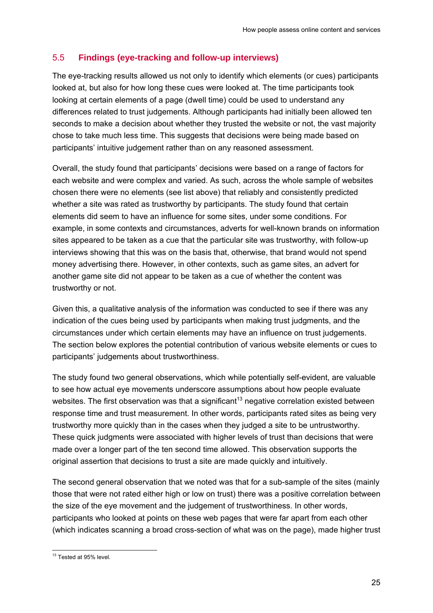# 5.5 **Findings (eye-tracking and follow-up interviews)**

The eye-tracking results allowed us not only to identify which elements (or cues) participants looked at, but also for how long these cues were looked at. The time participants took looking at certain elements of a page (dwell time) could be used to understand any differences related to trust judgements. Although participants had initially been allowed ten seconds to make a decision about whether they trusted the website or not, the vast majority chose to take much less time. This suggests that decisions were being made based on participants' intuitive judgement rather than on any reasoned assessment.

Overall, the study found that participants' decisions were based on a range of factors for each website and were complex and varied. As such, across the whole sample of websites chosen there were no elements (see list above) that reliably and consistently predicted whether a site was rated as trustworthy by participants. The study found that certain elements did seem to have an influence for some sites, under some conditions. For example, in some contexts and circumstances, adverts for well-known brands on information sites appeared to be taken as a cue that the particular site was trustworthy, with follow-up interviews showing that this was on the basis that, otherwise, that brand would not spend money advertising there. However, in other contexts, such as game sites, an advert for another game site did not appear to be taken as a cue of whether the content was trustworthy or not.

Given this, a qualitative analysis of the information was conducted to see if there was any indication of the cues being used by participants when making trust judgments, and the circumstances under which certain elements may have an influence on trust judgements. The section below explores the potential contribution of various website elements or cues to participants' judgements about trustworthiness.

The study found two general observations, which while potentially self-evident, are valuable to see how actual eye movements underscore assumptions about how people evaluate websites. The first observation was that a significant<sup>13</sup> negative correlation existed between response time and trust measurement. In other words, participants rated sites as being very trustworthy more quickly than in the cases when they judged a site to be untrustworthy. These quick judgments were associated with higher levels of trust than decisions that were made over a longer part of the ten second time allowed. This observation supports the original assertion that decisions to trust a site are made quickly and intuitively.

The second general observation that we noted was that for a sub-sample of the sites (mainly those that were not rated either high or low on trust) there was a positive correlation between the size of the eye movement and the judgement of trustworthiness. In other words, participants who looked at points on these web pages that were far apart from each other (which indicates scanning a broad cross-section of what was on the page), made higher trust

<sup>-</sup> $13$  Tested at 95% level.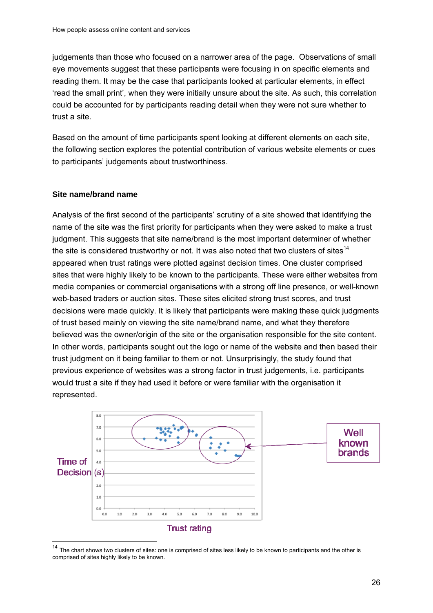judgements than those who focused on a narrower area of the page. Observations of small eye movements suggest that these participants were focusing in on specific elements and reading them. It may be the case that participants looked at particular elements, in effect 'read the small print', when they were initially unsure about the site. As such, this correlation could be accounted for by participants reading detail when they were not sure whether to trust a site.

Based on the amount of time participants spent looking at different elements on each site, the following section explores the potential contribution of various website elements or cues to participants' judgements about trustworthiness.

#### **Site name/brand name**

Analysis of the first second of the participants' scrutiny of a site showed that identifying the name of the site was the first priority for participants when they were asked to make a trust judgment. This suggests that site name/brand is the most important determiner of whether the site is considered trustworthy or not. It was also noted that two clusters of sites<sup>14</sup> appeared when trust ratings were plotted against decision times. One cluster comprised sites that were highly likely to be known to the participants. These were either websites from media companies or commercial organisations with a strong off line presence, or well-known web-based traders or auction sites. These sites elicited strong trust scores, and trust decisions were made quickly. It is likely that participants were making these quick judgments of trust based mainly on viewing the site name/brand name, and what they therefore believed was the owner/origin of the site or the organisation responsible for the site content. In other words, participants sought out the logo or name of the website and then based their trust judgment on it being familiar to them or not. Unsurprisingly, the study found that previous experience of websites was a strong factor in trust judgements, i.e. participants would trust a site if they had used it before or were familiar with the organisation it represented.



<sup>&</sup>lt;sup>14</sup> The chart shows two clusters of sites: one is comprised of sites less likely to be known to participants and the other is comprised of sites highly likely to be known.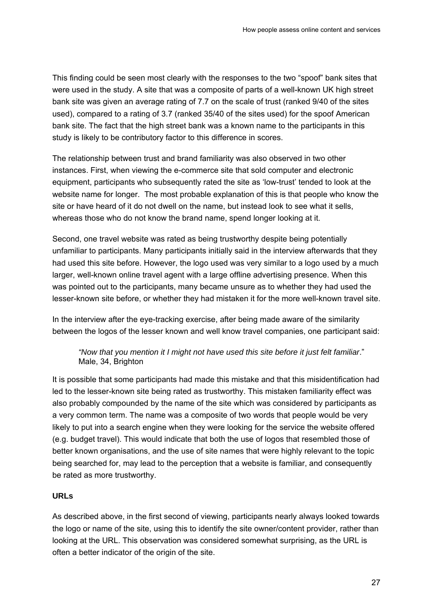This finding could be seen most clearly with the responses to the two "spoof" bank sites that were used in the study. A site that was a composite of parts of a well-known UK high street bank site was given an average rating of 7.7 on the scale of trust (ranked 9/40 of the sites used), compared to a rating of 3.7 (ranked 35/40 of the sites used) for the spoof American bank site. The fact that the high street bank was a known name to the participants in this study is likely to be contributory factor to this difference in scores.

The relationship between trust and brand familiarity was also observed in two other instances. First, when viewing the e-commerce site that sold computer and electronic equipment, participants who subsequently rated the site as 'low-trust' tended to look at the website name for longer. The most probable explanation of this is that people who know the site or have heard of it do not dwell on the name, but instead look to see what it sells, whereas those who do not know the brand name, spend longer looking at it.

Second, one travel website was rated as being trustworthy despite being potentially unfamiliar to participants. Many participants initially said in the interview afterwards that they had used this site before. However, the logo used was very similar to a logo used by a much larger, well-known online travel agent with a large offline advertising presence. When this was pointed out to the participants, many became unsure as to whether they had used the lesser-known site before, or whether they had mistaken it for the more well-known travel site.

In the interview after the eye-tracking exercise, after being made aware of the similarity between the logos of the lesser known and well know travel companies, one participant said:

*"Now that you mention it I might not have used this site before it just felt familiar*." Male, 34, Brighton

It is possible that some participants had made this mistake and that this misidentification had led to the lesser-known site being rated as trustworthy. This mistaken familiarity effect was also probably compounded by the name of the site which was considered by participants as a very common term. The name was a composite of two words that people would be very likely to put into a search engine when they were looking for the service the website offered (e.g. budget travel). This would indicate that both the use of logos that resembled those of better known organisations, and the use of site names that were highly relevant to the topic being searched for, may lead to the perception that a website is familiar, and consequently be rated as more trustworthy.

## **URLs**

As described above, in the first second of viewing, participants nearly always looked towards the logo or name of the site, using this to identify the site owner/content provider, rather than looking at the URL. This observation was considered somewhat surprising, as the URL is often a better indicator of the origin of the site.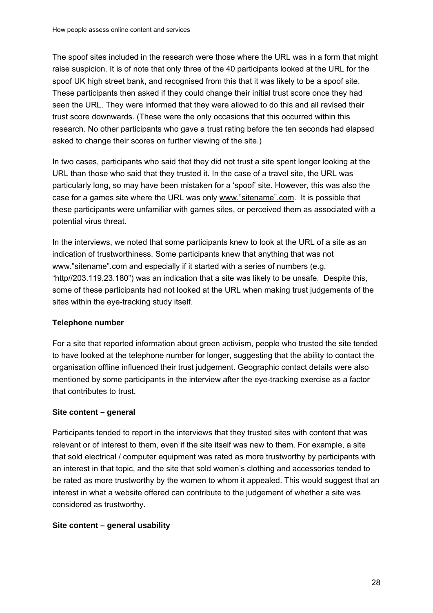The spoof sites included in the research were those where the URL was in a form that might raise suspicion. It is of note that only three of the 40 participants looked at the URL for the spoof UK high street bank, and recognised from this that it was likely to be a spoof site. These participants then asked if they could change their initial trust score once they had seen the URL. They were informed that they were allowed to do this and all revised their trust score downwards. (These were the only occasions that this occurred within this research. No other participants who gave a trust rating before the ten seconds had elapsed asked to change their scores on further viewing of the site.)

In two cases, participants who said that they did not trust a site spent longer looking at the URL than those who said that they trusted it. In the case of a travel site, the URL was particularly long, so may have been mistaken for a 'spoof' site. However, this was also the case for a games site where the URL was only www."sitename".com. It is possible that these participants were unfamiliar with games sites, or perceived them as associated with a potential virus threat.

In the interviews, we noted that some participants knew to look at the URL of a site as an indication of trustworthiness. Some participants knew that anything that was not www."sitename".com and especially if it started with a series of numbers (e.g. "http//203.119.23.180") was an indication that a site was likely to be unsafe. Despite this, some of these participants had not looked at the URL when making trust judgements of the sites within the eye-tracking study itself.

## **Telephone number**

For a site that reported information about green activism, people who trusted the site tended to have looked at the telephone number for longer, suggesting that the ability to contact the organisation offline influenced their trust judgement. Geographic contact details were also mentioned by some participants in the interview after the eye-tracking exercise as a factor that contributes to trust.

## **Site content – general**

Participants tended to report in the interviews that they trusted sites with content that was relevant or of interest to them, even if the site itself was new to them. For example, a site that sold electrical / computer equipment was rated as more trustworthy by participants with an interest in that topic, and the site that sold women's clothing and accessories tended to be rated as more trustworthy by the women to whom it appealed. This would suggest that an interest in what a website offered can contribute to the judgement of whether a site was considered as trustworthy.

#### **Site content – general usability**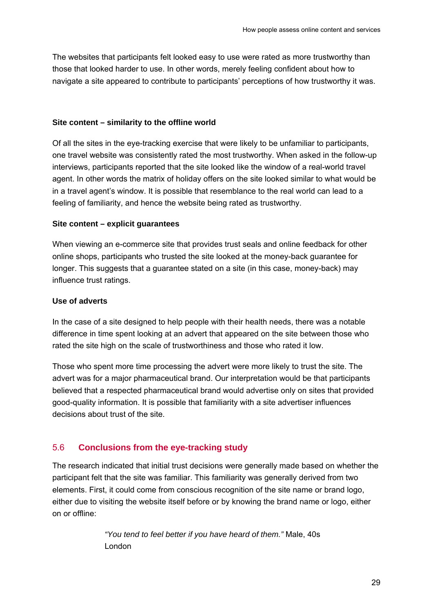The websites that participants felt looked easy to use were rated as more trustworthy than those that looked harder to use. In other words, merely feeling confident about how to navigate a site appeared to contribute to participants' perceptions of how trustworthy it was.

#### **Site content – similarity to the offline world**

Of all the sites in the eye-tracking exercise that were likely to be unfamiliar to participants, one travel website was consistently rated the most trustworthy. When asked in the follow-up interviews, participants reported that the site looked like the window of a real-world travel agent. In other words the matrix of holiday offers on the site looked similar to what would be in a travel agent's window. It is possible that resemblance to the real world can lead to a feeling of familiarity, and hence the website being rated as trustworthy.

#### **Site content – explicit guarantees**

When viewing an e-commerce site that provides trust seals and online feedback for other online shops, participants who trusted the site looked at the money-back guarantee for longer. This suggests that a guarantee stated on a site (in this case, money-back) may influence trust ratings.

#### **Use of adverts**

In the case of a site designed to help people with their health needs, there was a notable difference in time spent looking at an advert that appeared on the site between those who rated the site high on the scale of trustworthiness and those who rated it low.

Those who spent more time processing the advert were more likely to trust the site. The advert was for a major pharmaceutical brand. Our interpretation would be that participants believed that a respected pharmaceutical brand would advertise only on sites that provided good-quality information. It is possible that familiarity with a site advertiser influences decisions about trust of the site.

# 5.6 **Conclusions from the eye-tracking study**

The research indicated that initial trust decisions were generally made based on whether the participant felt that the site was familiar. This familiarity was generally derived from two elements. First, it could come from conscious recognition of the site name or brand logo, either due to visiting the website itself before or by knowing the brand name or logo, either on or offline:

> *"You tend to feel better if you have heard of them."* Male, 40s London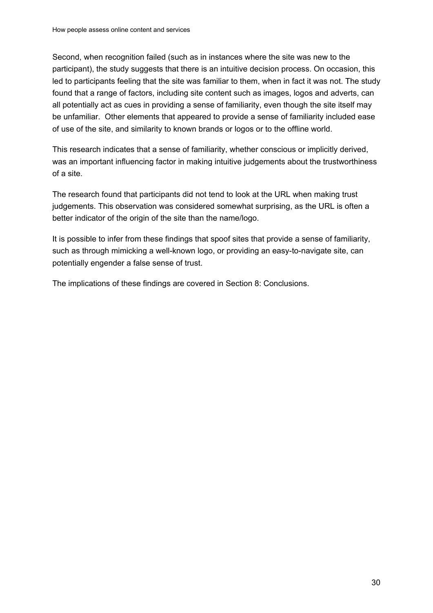Second, when recognition failed (such as in instances where the site was new to the participant), the study suggests that there is an intuitive decision process. On occasion, this led to participants feeling that the site was familiar to them, when in fact it was not. The study found that a range of factors, including site content such as images, logos and adverts, can all potentially act as cues in providing a sense of familiarity, even though the site itself may be unfamiliar. Other elements that appeared to provide a sense of familiarity included ease of use of the site, and similarity to known brands or logos or to the offline world.

This research indicates that a sense of familiarity, whether conscious or implicitly derived, was an important influencing factor in making intuitive judgements about the trustworthiness of a site.

The research found that participants did not tend to look at the URL when making trust judgements. This observation was considered somewhat surprising, as the URL is often a better indicator of the origin of the site than the name/logo.

It is possible to infer from these findings that spoof sites that provide a sense of familiarity, such as through mimicking a well-known logo, or providing an easy-to-navigate site, can potentially engender a false sense of trust.

The implications of these findings are covered in Section 8: Conclusions.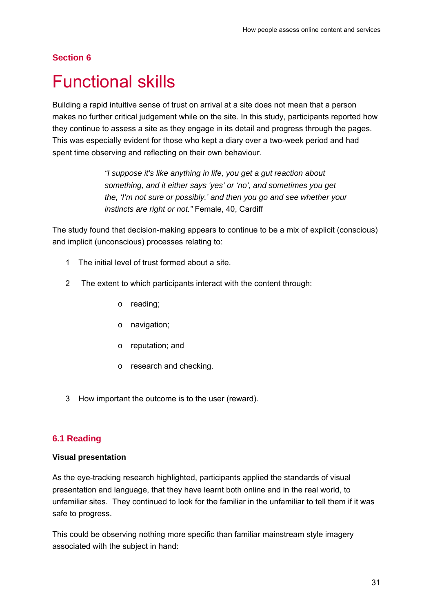# **Section 6**

# Functional skills

Building a rapid intuitive sense of trust on arrival at a site does not mean that a person makes no further critical judgement while on the site. In this study, participants reported how they continue to assess a site as they engage in its detail and progress through the pages. This was especially evident for those who kept a diary over a two-week period and had spent time observing and reflecting on their own behaviour.

> *"I suppose it's like anything in life, you get a gut reaction about something, and it either says 'yes' or 'no', and sometimes you get the, 'I'm not sure or possibly.' and then you go and see whether your instincts are right or not."* Female, 40, Cardiff

The study found that decision-making appears to continue to be a mix of explicit (conscious) and implicit (unconscious) processes relating to:

- 1 The initial level of trust formed about a site.
- 2 The extent to which participants interact with the content through:
	- o reading;
	- o navigation;
	- o reputation; and
	- o research and checking.
- 3 How important the outcome is to the user (reward).

# **6.1 Reading**

#### **Visual presentation**

As the eye-tracking research highlighted, participants applied the standards of visual presentation and language, that they have learnt both online and in the real world, to unfamiliar sites. They continued to look for the familiar in the unfamiliar to tell them if it was safe to progress.

This could be observing nothing more specific than familiar mainstream style imagery associated with the subject in hand: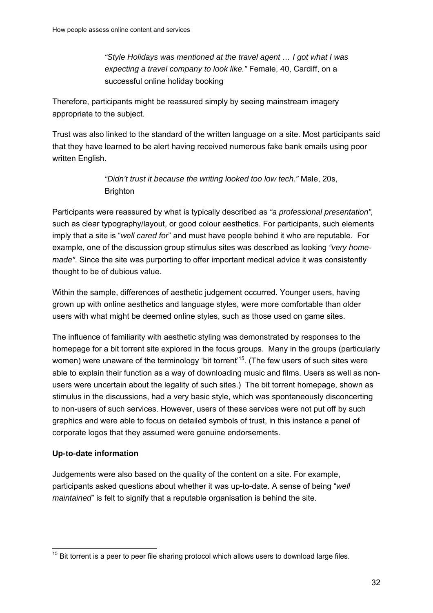*"Style Holidays was mentioned at the travel agent … I got what I was expecting a travel company to look like."* Female, 40, Cardiff, on a successful online holiday booking

Therefore, participants might be reassured simply by seeing mainstream imagery appropriate to the subject.

Trust was also linked to the standard of the written language on a site. Most participants said that they have learned to be alert having received numerous fake bank emails using poor written English.

> *"Didn't trust it because the writing looked too low tech."* Male, 20s, **Brighton**

Participants were reassured by what is typically described as *"a professional presentation",*  such as clear typography/layout, or good colour aesthetics. For participants, such elements imply that a site is "*well cared for*" and must have people behind it who are reputable. For example, one of the discussion group stimulus sites was described as looking *"very homemade"*. Since the site was purporting to offer important medical advice it was consistently thought to be of dubious value.

Within the sample, differences of aesthetic judgement occurred. Younger users, having grown up with online aesthetics and language styles, were more comfortable than older users with what might be deemed online styles, such as those used on game sites.

The influence of familiarity with aesthetic styling was demonstrated by responses to the homepage for a bit torrent site explored in the focus groups. Many in the groups (particularly women) were unaware of the terminology 'bit torrent'<sup>15</sup>. (The few users of such sites were able to explain their function as a way of downloading music and films. Users as well as nonusers were uncertain about the legality of such sites.) The bit torrent homepage, shown as stimulus in the discussions, had a very basic style, which was spontaneously disconcerting to non-users of such services. However, users of these services were not put off by such graphics and were able to focus on detailed symbols of trust, in this instance a panel of corporate logos that they assumed were genuine endorsements.

## **Up-to-date information**

Judgements were also based on the quality of the content on a site. For example, participants asked questions about whether it was up-to-date. A sense of being "*well maintained*" is felt to signify that a reputable organisation is behind the site.

 $\overline{a}$  $15$  Bit torrent is a peer to peer file sharing protocol which allows users to download large files.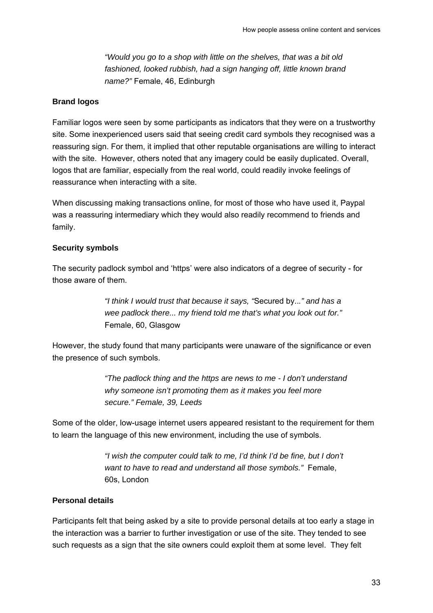*"Would you go to a shop with little on the shelves, that was a bit old fashioned, looked rubbish, had a sign hanging off, little known brand name?"* Female, 46, Edinburgh

#### **Brand logos**

Familiar logos were seen by some participants as indicators that they were on a trustworthy site. Some inexperienced users said that seeing credit card symbols they recognised was a reassuring sign. For them, it implied that other reputable organisations are willing to interact with the site. However, others noted that any imagery could be easily duplicated. Overall, logos that are familiar, especially from the real world, could readily invoke feelings of reassurance when interacting with a site.

When discussing making transactions online, for most of those who have used it, Paypal was a reassuring intermediary which they would also readily recommend to friends and family.

#### **Security symbols**

The security padlock symbol and 'https' were also indicators of a degree of security - for those aware of them.

> *"I think I would trust that because it says, "*Secured by..*." and has a wee padlock there... my friend told me that's what you look out for."*  Female, 60, Glasgow

However, the study found that many participants were unaware of the significance or even the presence of such symbols.

> *"The padlock thing and the https are news to me - I don't understand why someone isn't promoting them as it makes you feel more secure." Female, 39, Leeds*

Some of the older, low-usage internet users appeared resistant to the requirement for them to learn the language of this new environment, including the use of symbols.

> *"I wish the computer could talk to me, I'd think I'd be fine, but I don't want to have to read and understand all those symbols."* Female, 60s, London

#### **Personal details**

Participants felt that being asked by a site to provide personal details at too early a stage in the interaction was a barrier to further investigation or use of the site. They tended to see such requests as a sign that the site owners could exploit them at some level. They felt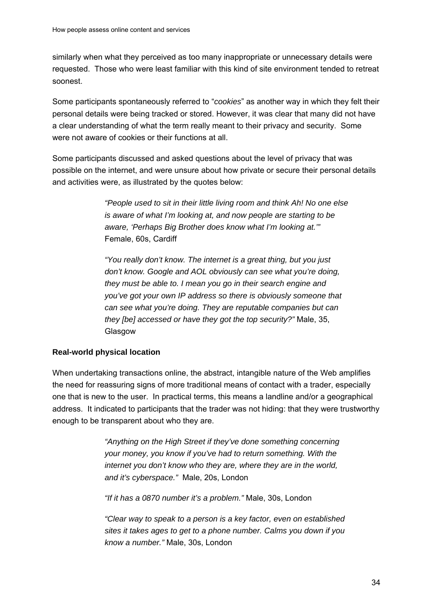similarly when what they perceived as too many inappropriate or unnecessary details were requested. Those who were least familiar with this kind of site environment tended to retreat soonest.

Some participants spontaneously referred to "*cookies*" as another way in which they felt their personal details were being tracked or stored. However, it was clear that many did not have a clear understanding of what the term really meant to their privacy and security. Some were not aware of cookies or their functions at all.

Some participants discussed and asked questions about the level of privacy that was possible on the internet, and were unsure about how private or secure their personal details and activities were, as illustrated by the quotes below:

> *"People used to sit in their little living room and think Ah! No one else is aware of what I'm looking at, and now people are starting to be aware, 'Perhaps Big Brother does know what I'm looking at.'"*  Female, 60s, Cardiff

*"You really don't know. The internet is a great thing, but you just don't know. Google and AOL obviously can see what you're doing, they must be able to. I mean you go in their search engine and you've got your own IP address so there is obviously someone that can see what you're doing. They are reputable companies but can they [be] accessed or have they got the top security?"* Male, 35, **Glasgow** 

## **Real-world physical location**

When undertaking transactions online, the abstract, intangible nature of the Web amplifies the need for reassuring signs of more traditional means of contact with a trader, especially one that is new to the user. In practical terms, this means a landline and/or a geographical address. It indicated to participants that the trader was not hiding: that they were trustworthy enough to be transparent about who they are.

> *"Anything on the High Street if they've done something concerning your money, you know if you've had to return something. With the internet you don't know who they are, where they are in the world, and it's cyberspace."* Male, 20s, London

*"If it has a 0870 number it's a problem."* Male, 30s, London

*"Clear way to speak to a person is a key factor, even on established sites it takes ages to get to a phone number. Calms you down if you know a number."* Male, 30s, London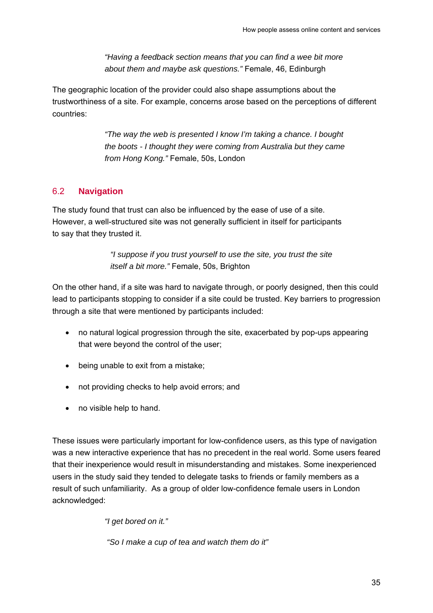*"Having a feedback section means that you can find a wee bit more about them and maybe ask questions."* Female, 46, Edinburgh

The geographic location of the provider could also shape assumptions about the trustworthiness of a site. For example, concerns arose based on the perceptions of different countries:

> *"The way the web is presented I know I'm taking a chance. I bought the boots - I thought they were coming from Australia but they came from Hong Kong."* Female, 50s, London

# 6.2 **Navigation**

The study found that trust can also be influenced by the ease of use of a site. However, a well-structured site was not generally sufficient in itself for participants to say that they trusted it.

> *"I suppose if you trust yourself to use the site, you trust the site itself a bit more."* Female, 50s, Brighton

On the other hand, if a site was hard to navigate through, or poorly designed, then this could lead to participants stopping to consider if a site could be trusted. Key barriers to progression through a site that were mentioned by participants included:

- no natural logical progression through the site, exacerbated by pop-ups appearing that were beyond the control of the user;
- being unable to exit from a mistake;
- not providing checks to help avoid errors; and
- no visible help to hand.

These issues were particularly important for low-confidence users, as this type of navigation was a new interactive experience that has no precedent in the real world. Some users feared that their inexperience would result in misunderstanding and mistakes. Some inexperienced users in the study said they tended to delegate tasks to friends or family members as a result of such unfamiliarity. As a group of older low-confidence female users in London acknowledged:

*"I get bored on it."* 

 *"So I make a cup of tea and watch them do it"*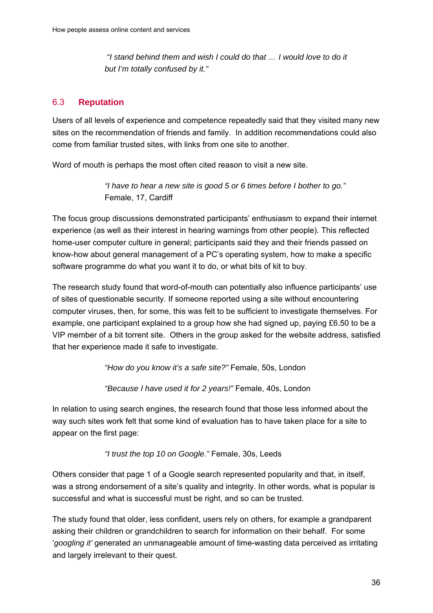*"I stand behind them and wish I could do that … I would love to do it but I'm totally confused by it."* 

# 6.3 **Reputation**

Users of all levels of experience and competence repeatedly said that they visited many new sites on the recommendation of friends and family. In addition recommendations could also come from familiar trusted sites, with links from one site to another.

Word of mouth is perhaps the most often cited reason to visit a new site.

*"I have to hear a new site is good 5 or 6 times before I bother to go."*  Female, 17, Cardiff

The focus group discussions demonstrated participants' enthusiasm to expand their internet experience (as well as their interest in hearing warnings from other people). This reflected home-user computer culture in general; participants said they and their friends passed on know-how about general management of a PC's operating system, how to make a specific software programme do what you want it to do, or what bits of kit to buy.

The research study found that word-of-mouth can potentially also influence participants' use of sites of questionable security. If someone reported using a site without encountering computer viruses, then, for some, this was felt to be sufficient to investigate themselves. For example, one participant explained to a group how she had signed up, paying £6.50 to be a VIP member of a bit torrent site. Others in the group asked for the website address, satisfied that her experience made it safe to investigate.

*"How do you know it's a safe site?"* Female, 50s, London

*"Because I have used it for 2 years!"* Female, 40s, London

In relation to using search engines, the research found that those less informed about the way such sites work felt that some kind of evaluation has to have taken place for a site to appear on the first page:

*"I trust the top 10 on Google."* Female, 30s, Leeds

Others consider that page 1 of a Google search represented popularity and that, in itself, was a strong endorsement of a site's quality and integrity. In other words, what is popular is successful and what is successful must be right, and so can be trusted.

The study found that older, less confident, users rely on others, for example a grandparent asking their children or grandchildren to search for information on their behalf. For some '*googling it'* generated an unmanageable amount of time-wasting data perceived as irritating and largely irrelevant to their quest.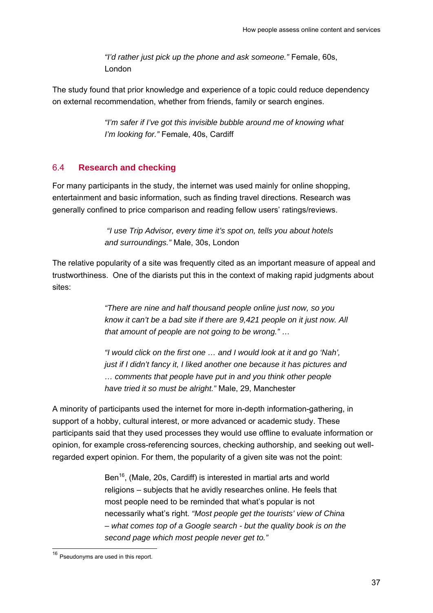*"I'd rather just pick up the phone and ask someone."* Female, 60s, London

The study found that prior knowledge and experience of a topic could reduce dependency on external recommendation, whether from friends, family or search engines.

> *"I'm safer if I've got this invisible bubble around me of knowing what I'm looking for."* Female, 40s, Cardiff

## 6.4 **Research and checking**

For many participants in the study, the internet was used mainly for online shopping, entertainment and basic information, such as finding travel directions. Research was generally confined to price comparison and reading fellow users' ratings/reviews.

> *"I use Trip Advisor, every time it's spot on, tells you about hotels and surroundings."* Male, 30s, London

The relative popularity of a site was frequently cited as an important measure of appeal and trustworthiness. One of the diarists put this in the context of making rapid judgments about sites:

> *"There are nine and half thousand people online just now, so you know it can't be a bad site if there are 9,421 people on it just now. All that amount of people are not going to be wrong." …*

> *"I would click on the first one … and I would look at it and go 'Nah', just if I didn't fancy it, I liked another one because it has pictures and … comments that people have put in and you think other people have tried it so must be alright."* Male, 29, Manchester

A minority of participants used the internet for more in-depth information-gathering, in support of a hobby, cultural interest, or more advanced or academic study. These participants said that they used processes they would use offline to evaluate information or opinion, for example cross-referencing sources, checking authorship, and seeking out wellregarded expert opinion. For them, the popularity of a given site was not the point:

> Ben<sup>16</sup>, (Male, 20s, Cardiff) is interested in martial arts and world religions – subjects that he avidly researches online. He feels that most people need to be reminded that what's popular is not necessarily what's right. *"Most people get the tourists' view of China – what comes top of a Google search - but the quality book is on the second page which most people never get to."*

 $\overline{a}$ 

<sup>&</sup>lt;sup>16</sup> Pseudonyms are used in this report.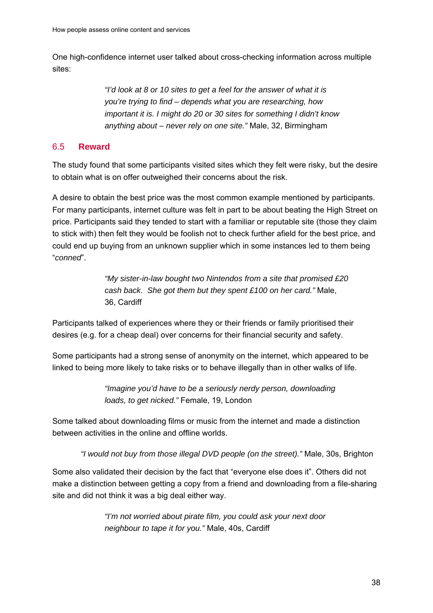One high-confidence internet user talked about cross-checking information across multiple sites:

> *"I'd look at 8 or 10 sites to get a feel for the answer of what it is you're trying to find – depends what you are researching, how important it is. I might do 20 or 30 sites for something I didn't know anything about – never rely on one site."* Male, 32, Birmingham

# 6.5 **Reward**

The study found that some participants visited sites which they felt were risky, but the desire to obtain what is on offer outweighed their concerns about the risk.

A desire to obtain the best price was the most common example mentioned by participants. For many participants, internet culture was felt in part to be about beating the High Street on price. Participants said they tended to start with a familiar or reputable site (those they claim to stick with) then felt they would be foolish not to check further afield for the best price, and could end up buying from an unknown supplier which in some instances led to them being "*conned*".

> *"My sister-in-law bought two Nintendos from a site that promised £20 cash back. She got them but they spent £100 on her card."* Male, 36, Cardiff

Participants talked of experiences where they or their friends or family prioritised their desires (e.g. for a cheap deal) over concerns for their financial security and safety.

Some participants had a strong sense of anonymity on the internet, which appeared to be linked to being more likely to take risks or to behave illegally than in other walks of life.

> *"Imagine you'd have to be a seriously nerdy person, downloading loads, to get nicked."* Female, 19, London

Some talked about downloading films or music from the internet and made a distinction between activities in the online and offline worlds.

 *"I would not buy from those illegal DVD people (on the street)."* Male, 30s, Brighton

Some also validated their decision by the fact that "everyone else does it". Others did not make a distinction between getting a copy from a friend and downloading from a file-sharing site and did not think it was a big deal either way.

> *"I'm not worried about pirate film, you could ask your next door neighbour to tape it for you."* Male, 40s, Cardiff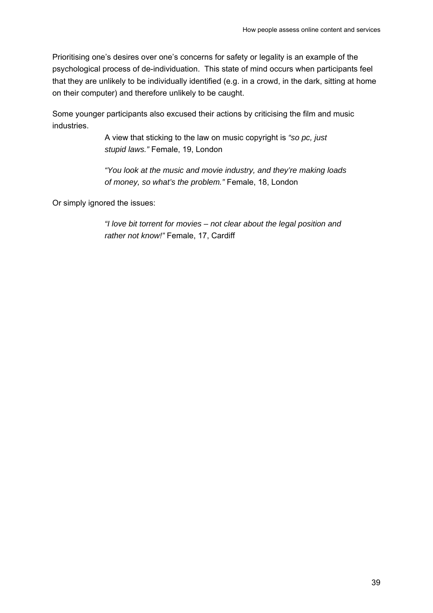Prioritising one's desires over one's concerns for safety or legality is an example of the psychological process of de-individuation. This state of mind occurs when participants feel that they are unlikely to be individually identified (e.g. in a crowd, in the dark, sitting at home on their computer) and therefore unlikely to be caught.

Some younger participants also excused their actions by criticising the film and music industries.

> A view that sticking to the law on music copyright is *"so pc, just stupid laws."* Female, 19, London

*"You look at the music and movie industry, and they're making loads of money, so what's the problem."* Female, 18, London

Or simply ignored the issues:

*"I love bit torrent for movies – not clear about the legal position and rather not know!"* Female, 17, Cardiff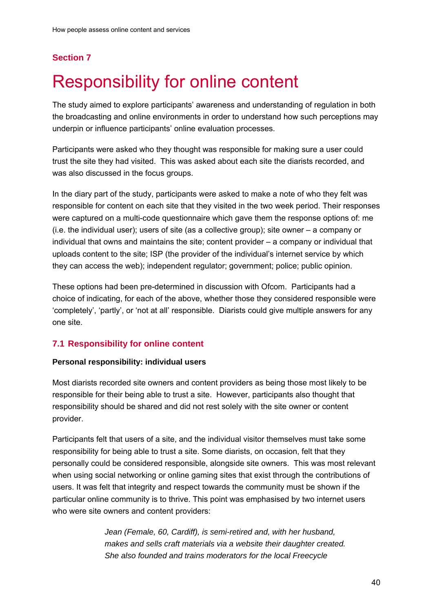# **Section 7**

# Responsibility for online content

The study aimed to explore participants' awareness and understanding of regulation in both the broadcasting and online environments in order to understand how such perceptions may underpin or influence participants' online evaluation processes.

Participants were asked who they thought was responsible for making sure a user could trust the site they had visited. This was asked about each site the diarists recorded, and was also discussed in the focus groups.

In the diary part of the study, participants were asked to make a note of who they felt was responsible for content on each site that they visited in the two week period. Their responses were captured on a multi-code questionnaire which gave them the response options of: me (i.e. the individual user); users of site (as a collective group); site owner – a company or individual that owns and maintains the site; content provider – a company or individual that uploads content to the site; ISP (the provider of the individual's internet service by which they can access the web); independent regulator; government; police; public opinion.

These options had been pre-determined in discussion with Ofcom. Participants had a choice of indicating, for each of the above, whether those they considered responsible were 'completely', 'partly', or 'not at all' responsible. Diarists could give multiple answers for any one site.

# **7.1 Responsibility for online content**

## **Personal responsibility: individual users**

Most diarists recorded site owners and content providers as being those most likely to be responsible for their being able to trust a site. However, participants also thought that responsibility should be shared and did not rest solely with the site owner or content provider.

Participants felt that users of a site, and the individual visitor themselves must take some responsibility for being able to trust a site. Some diarists, on occasion, felt that they personally could be considered responsible, alongside site owners. This was most relevant when using social networking or online gaming sites that exist through the contributions of users. It was felt that integrity and respect towards the community must be shown if the particular online community is to thrive. This point was emphasised by two internet users who were site owners and content providers:

> *Jean (Female, 60, Cardiff), is semi-retired and, with her husband, makes and sells craft materials via a website their daughter created. She also founded and trains moderators for the local Freecycle*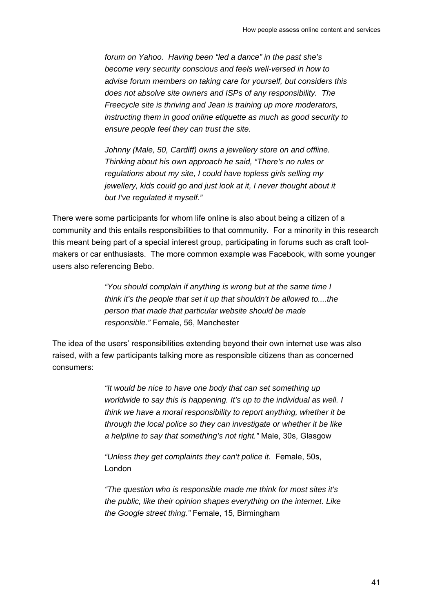*forum on Yahoo. Having been "led a dance" in the past she's become very security conscious and feels well-versed in how to advise forum members on taking care for yourself, but considers this does not absolve site owners and ISPs of any responsibility. The Freecycle site is thriving and Jean is training up more moderators, instructing them in good online etiquette as much as good security to ensure people feel they can trust the site.* 

*Johnny (Male, 50, Cardiff) owns a jewellery store on and offline. Thinking about his own approach he said, "There's no rules or regulations about my site, I could have topless girls selling my jewellery, kids could go and just look at it, I never thought about it but I've regulated it myself."* 

There were some participants for whom life online is also about being a citizen of a community and this entails responsibilities to that community. For a minority in this research this meant being part of a special interest group, participating in forums such as craft toolmakers or car enthusiasts. The more common example was Facebook, with some younger users also referencing Bebo.

> *"You should complain if anything is wrong but at the same time I think it's the people that set it up that shouldn't be allowed to....the person that made that particular website should be made responsible."* Female, 56, Manchester

The idea of the users' responsibilities extending beyond their own internet use was also raised, with a few participants talking more as responsible citizens than as concerned consumers:

> *"It would be nice to have one body that can set something up worldwide to say this is happening. It's up to the individual as well. I think we have a moral responsibility to report anything, whether it be through the local police so they can investigate or whether it be like a helpline to say that something's not right."* Male, 30s, Glasgow

*"Unless they get complaints they can't police it.* Female, 50s, London

*"The question who is responsible made me think for most sites it's the public, like their opinion shapes everything on the internet. Like the Google street thing."* Female, 15, Birmingham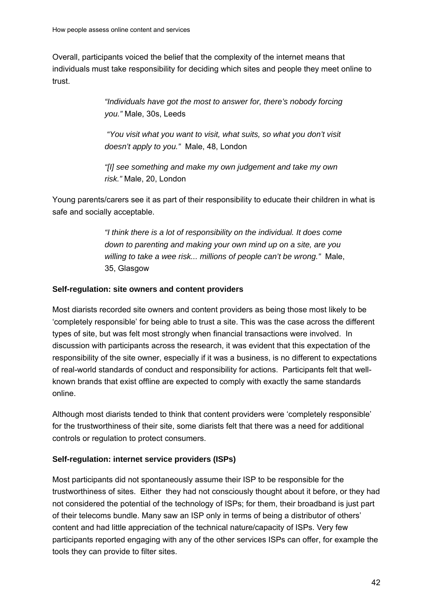Overall, participants voiced the belief that the complexity of the internet means that individuals must take responsibility for deciding which sites and people they meet online to trust.

> *"Individuals have got the most to answer for, there's nobody forcing you."* Male, 30s, Leeds

> *"You visit what you want to visit, what suits, so what you don't visit doesn't apply to you."* Male, 48, London

*"[I] see something and make my own judgement and take my own risk."* Male, 20, London

Young parents/carers see it as part of their responsibility to educate their children in what is safe and socially acceptable.

> *"I think there is a lot of responsibility on the individual. It does come down to parenting and making your own mind up on a site, are you willing to take a wee risk... millions of people can't be wrong."* Male, 35, Glasgow

## **Self-regulation: site owners and content providers**

Most diarists recorded site owners and content providers as being those most likely to be 'completely responsible' for being able to trust a site. This was the case across the different types of site, but was felt most strongly when financial transactions were involved. In discussion with participants across the research, it was evident that this expectation of the responsibility of the site owner, especially if it was a business, is no different to expectations of real-world standards of conduct and responsibility for actions. Participants felt that wellknown brands that exist offline are expected to comply with exactly the same standards online.

Although most diarists tended to think that content providers were 'completely responsible' for the trustworthiness of their site, some diarists felt that there was a need for additional controls or regulation to protect consumers.

## **Self-regulation: internet service providers (ISPs)**

Most participants did not spontaneously assume their ISP to be responsible for the trustworthiness of sites. Either they had not consciously thought about it before, or they had not considered the potential of the technology of ISPs; for them, their broadband is just part of their telecoms bundle. Many saw an ISP only in terms of being a distributor of others' content and had little appreciation of the technical nature/capacity of ISPs. Very few participants reported engaging with any of the other services ISPs can offer, for example the tools they can provide to filter sites.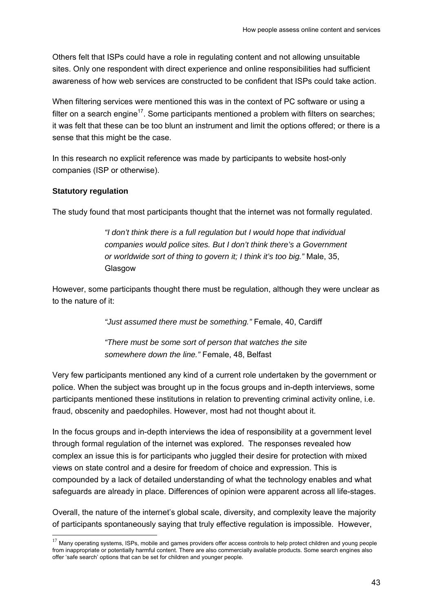Others felt that ISPs could have a role in regulating content and not allowing unsuitable sites. Only one respondent with direct experience and online responsibilities had sufficient awareness of how web services are constructed to be confident that ISPs could take action.

When filtering services were mentioned this was in the context of PC software or using a filter on a search engine<sup>17</sup>. Some participants mentioned a problem with filters on searches; it was felt that these can be too blunt an instrument and limit the options offered; or there is a sense that this might be the case.

In this research no explicit reference was made by participants to website host-only companies (ISP or otherwise).

## **Statutory regulation**

1

The study found that most participants thought that the internet was not formally regulated.

*"I don't think there is a full regulation but I would hope that individual companies would police sites. But I don't think there's a Government or worldwide sort of thing to govern it; I think it's too big."* Male, 35, Glasgow

However, some participants thought there must be regulation, although they were unclear as to the nature of it:

*"Just assumed there must be something."* Female, 40, Cardiff

*"There must be some sort of person that watches the site somewhere down the line."* Female, 48, Belfast

Very few participants mentioned any kind of a current role undertaken by the government or police. When the subject was brought up in the focus groups and in-depth interviews, some participants mentioned these institutions in relation to preventing criminal activity online, i.e. fraud, obscenity and paedophiles. However, most had not thought about it.

In the focus groups and in-depth interviews the idea of responsibility at a government level through formal regulation of the internet was explored. The responses revealed how complex an issue this is for participants who juggled their desire for protection with mixed views on state control and a desire for freedom of choice and expression. This is compounded by a lack of detailed understanding of what the technology enables and what safeguards are already in place. Differences of opinion were apparent across all life-stages.

Overall, the nature of the internet's global scale, diversity, and complexity leave the majority of participants spontaneously saying that truly effective regulation is impossible. However,

 $17$  Many operating systems, ISPs, mobile and games providers offer access controls to help protect children and young people from inappropriate or potentially harmful content. There are also commercially available products. Some search engines also offer 'safe search' options that can be set for children and younger people.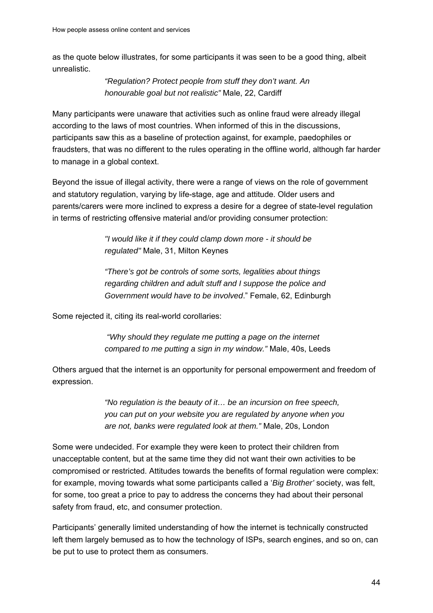as the quote below illustrates, for some participants it was seen to be a good thing, albeit unrealistic.

# *"Regulation? Protect people from stuff they don't want. An honourable goal but not realistic"* Male, 22, Cardiff

Many participants were unaware that activities such as online fraud were already illegal according to the laws of most countries. When informed of this in the discussions, participants saw this as a baseline of protection against, for example, paedophiles or fraudsters, that was no different to the rules operating in the offline world, although far harder to manage in a global context.

Beyond the issue of illegal activity, there were a range of views on the role of government and statutory regulation, varying by life-stage, age and attitude. Older users and parents/carers were more inclined to express a desire for a degree of state-level regulation in terms of restricting offensive material and/or providing consumer protection:

> *"I would like it if they could clamp down more - it should be regulated"* Male, 31, Milton Keynes

*"There's got be controls of some sorts, legalities about things regarding children and adult stuff and I suppose the police and Government would have to be involved*." Female, 62, Edinburgh

Some rejected it, citing its real-world corollaries:

 *"Why should they regulate me putting a page on the internet compared to me putting a sign in my window."* Male, 40s, Leeds

Others argued that the internet is an opportunity for personal empowerment and freedom of expression.

> *"No regulation is the beauty of it… be an incursion on free speech, you can put on your website you are regulated by anyone when you are not, banks were regulated look at them."* Male, 20s, London

Some were undecided. For example they were keen to protect their children from unacceptable content, but at the same time they did not want their own activities to be compromised or restricted. Attitudes towards the benefits of formal regulation were complex: for example, moving towards what some participants called a '*Big Brother'* society, was felt, for some, too great a price to pay to address the concerns they had about their personal safety from fraud, etc, and consumer protection.

Participants' generally limited understanding of how the internet is technically constructed left them largely bemused as to how the technology of ISPs, search engines, and so on, can be put to use to protect them as consumers.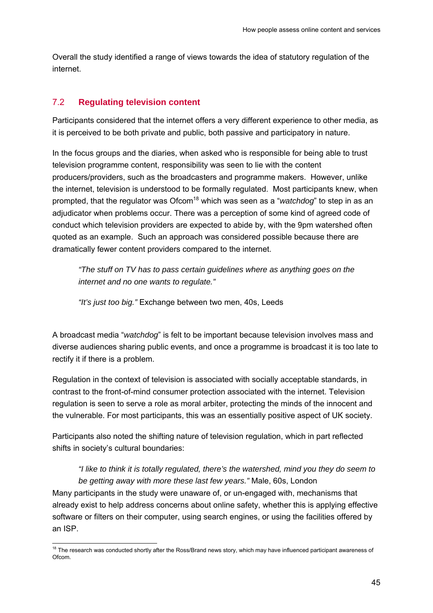Overall the study identified a range of views towards the idea of statutory regulation of the internet.

## 7.2 **Regulating television content**

Participants considered that the internet offers a very different experience to other media, as it is perceived to be both private and public, both passive and participatory in nature.

In the focus groups and the diaries, when asked who is responsible for being able to trust television programme content, responsibility was seen to lie with the content producers/providers, such as the broadcasters and programme makers. However, unlike the internet, television is understood to be formally regulated. Most participants knew, when prompted, that the regulator was Ofcom18 which was seen as a "*watchdog*" to step in as an adjudicator when problems occur. There was a perception of some kind of agreed code of conduct which television providers are expected to abide by, with the 9pm watershed often quoted as an example. Such an approach was considered possible because there are dramatically fewer content providers compared to the internet.

*"The stuff on TV has to pass certain guidelines where as anything goes on the internet and no one wants to regulate."* 

*"It's just too big."* Exchange between two men, 40s, Leeds

A broadcast media "*watchdog*" is felt to be important because television involves mass and diverse audiences sharing public events, and once a programme is broadcast it is too late to rectify it if there is a problem.

Regulation in the context of television is associated with socially acceptable standards, in contrast to the front-of-mind consumer protection associated with the internet. Television regulation is seen to serve a role as moral arbiter, protecting the minds of the innocent and the vulnerable. For most participants, this was an essentially positive aspect of UK society.

Participants also noted the shifting nature of television regulation, which in part reflected shifts in society's cultural boundaries:

*"I like to think it is totally regulated, there's the watershed, mind you they do seem to be getting away with more these last few years."* Male, 60s, London Many participants in the study were unaware of, or un-engaged with, mechanisms that already exist to help address concerns about online safety, whether this is applying effective software or filters on their computer, using search engines, or using the facilities offered by an ISP.

<sup>1</sup> <sup>18</sup> The research was conducted shortly after the Ross/Brand news story, which may have influenced participant awareness of Ofcom.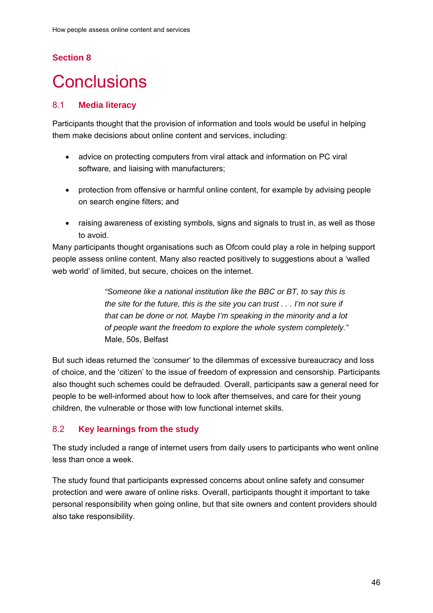# **Section 8**

# **Conclusions**

# 8.1 **Media literacy**

Participants thought that the provision of information and tools would be useful in helping them make decisions about online content and services, including:

- advice on protecting computers from viral attack and information on PC viral software, and liaising with manufacturers;
- protection from offensive or harmful online content, for example by advising people on search engine filters; and
- raising awareness of existing symbols, signs and signals to trust in, as well as those to avoid.

Many participants thought organisations such as Ofcom could play a role in helping support people assess online content. Many also reacted positively to suggestions about a 'walled web world' of limited, but secure, choices on the internet.

> *"Someone like a national institution like the BBC or BT, to say this is the site for the future, this is the site you can trust . . . I'm not sure if that can be done or not. Maybe I'm speaking in the minority and a lot of people want the freedom to explore the whole system completely."*  Male, 50s, Belfast

But such ideas returned the 'consumer' to the dilemmas of excessive bureaucracy and loss of choice, and the 'citizen' to the issue of freedom of expression and censorship. Participants also thought such schemes could be defrauded. Overall, participants saw a general need for people to be well-informed about how to look after themselves, and care for their young children, the vulnerable or those with low functional internet skills.

# 8.2 **Key learnings from the study**

The study included a range of internet users from daily users to participants who went online less than once a week.

The study found that participants expressed concerns about online safety and consumer protection and were aware of online risks. Overall, participants thought it important to take personal responsibility when going online, but that site owners and content providers should also take responsibility.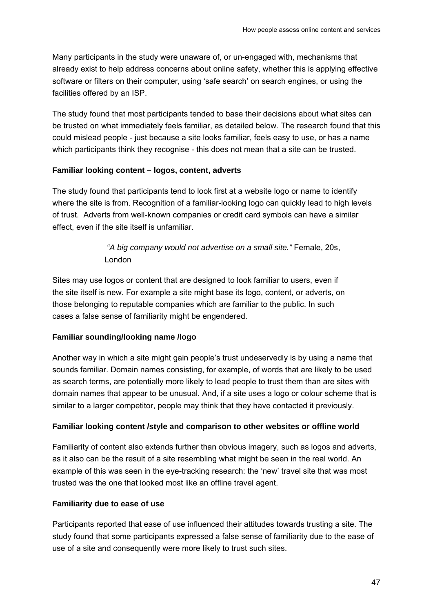Many participants in the study were unaware of, or un-engaged with, mechanisms that already exist to help address concerns about online safety, whether this is applying effective software or filters on their computer, using 'safe search' on search engines, or using the facilities offered by an ISP.

The study found that most participants tended to base their decisions about what sites can be trusted on what immediately feels familiar, as detailed below. The research found that this could mislead people - just because a site looks familiar, feels easy to use, or has a name which participants think they recognise - this does not mean that a site can be trusted.

#### **Familiar looking content – logos, content, adverts**

The study found that participants tend to look first at a website logo or name to identify where the site is from. Recognition of a familiar-looking logo can quickly lead to high levels of trust. Adverts from well-known companies or credit card symbols can have a similar effect, even if the site itself is unfamiliar.

# *"A big company would not advertise on a small site."* Female, 20s, London

Sites may use logos or content that are designed to look familiar to users, even if the site itself is new. For example a site might base its logo, content, or adverts, on those belonging to reputable companies which are familiar to the public. In such cases a false sense of familiarity might be engendered.

#### **Familiar sounding/looking name /logo**

Another way in which a site might gain people's trust undeservedly is by using a name that sounds familiar. Domain names consisting, for example, of words that are likely to be used as search terms, are potentially more likely to lead people to trust them than are sites with domain names that appear to be unusual. And, if a site uses a logo or colour scheme that is similar to a larger competitor, people may think that they have contacted it previously.

#### **Familiar looking content /style and comparison to other websites or offline world**

Familiarity of content also extends further than obvious imagery, such as logos and adverts, as it also can be the result of a site resembling what might be seen in the real world. An example of this was seen in the eye-tracking research: the 'new' travel site that was most trusted was the one that looked most like an offline travel agent.

#### **Familiarity due to ease of use**

Participants reported that ease of use influenced their attitudes towards trusting a site. The study found that some participants expressed a false sense of familiarity due to the ease of use of a site and consequently were more likely to trust such sites.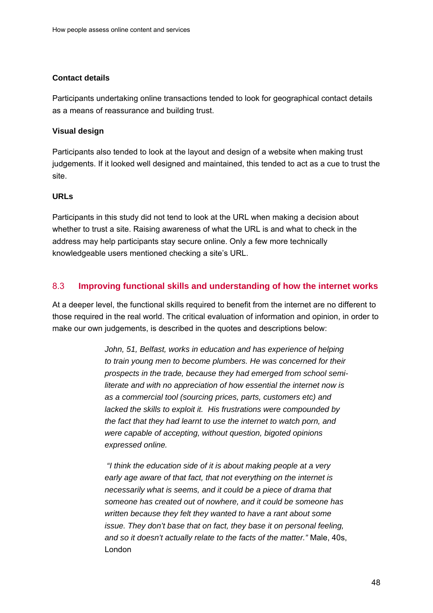### **Contact details**

Participants undertaking online transactions tended to look for geographical contact details as a means of reassurance and building trust.

#### **Visual design**

Participants also tended to look at the layout and design of a website when making trust judgements. If it looked well designed and maintained, this tended to act as a cue to trust the site.

## **URLs**

Participants in this study did not tend to look at the URL when making a decision about whether to trust a site. Raising awareness of what the URL is and what to check in the address may help participants stay secure online. Only a few more technically knowledgeable users mentioned checking a site's URL.

## 8.3 **Improving functional skills and understanding of how the internet works**

At a deeper level, the functional skills required to benefit from the internet are no different to those required in the real world. The critical evaluation of information and opinion, in order to make our own judgements, is described in the quotes and descriptions below:

> *John, 51, Belfast, works in education and has experience of helping to train young men to become plumbers. He was concerned for their prospects in the trade, because they had emerged from school semiliterate and with no appreciation of how essential the internet now is as a commercial tool (sourcing prices, parts, customers etc) and lacked the skills to exploit it. His frustrations were compounded by the fact that they had learnt to use the internet to watch porn, and were capable of accepting, without question, bigoted opinions expressed online.*

> *"I think the education side of it is about making people at a very early age aware of that fact, that not everything on the internet is necessarily what is seems, and it could be a piece of drama that someone has created out of nowhere, and it could be someone has written because they felt they wanted to have a rant about some issue. They don't base that on fact, they base it on personal feeling, and so it doesn't actually relate to the facts of the matter."* Male, 40s, London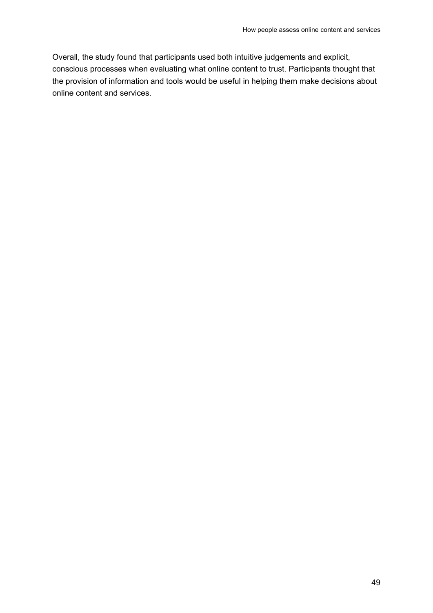Overall, the study found that participants used both intuitive judgements and explicit, conscious processes when evaluating what online content to trust. Participants thought that the provision of information and tools would be useful in helping them make decisions about online content and services.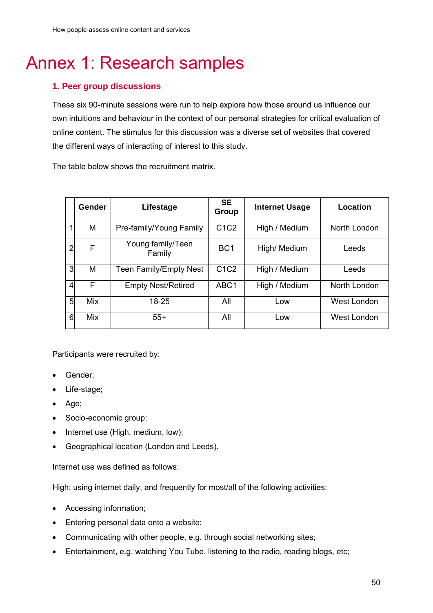# Annex 1: Research samples

# **1. Peer group discussions**

These six 90-minute sessions were run to help explore how those around us influence our own intuitions and behaviour in the context of our personal strategies for critical evaluation of online content. The stimulus for this discussion was a diverse set of websites that covered the different ways of interacting of interest to this study.

The table below shows the recruitment matrix.

|   | <b>Gender</b> | Lifestage                     | <b>SE</b><br>Group            | <b>Internet Usage</b> | Location     |
|---|---------------|-------------------------------|-------------------------------|-----------------------|--------------|
|   | M             | Pre-family/Young Family       | C <sub>1</sub> C <sub>2</sub> | High / Medium         | North London |
| 2 | F             | Young family/Teen<br>Family   |                               | High/ Medium          | Leeds        |
| 3 | M             | <b>Teen Family/Empty Nest</b> | C <sub>1</sub> C <sub>2</sub> | High / Medium         | Leeds        |
| 4 | F             | <b>Empty Nest/Retired</b>     | ABC <sub>1</sub>              | High / Medium         | North London |
| 5 | Mix           | $18 - 25$                     | All                           | Low                   | West London  |
| 6 | Mix           | $55+$                         | All                           | Low                   | West London  |

Participants were recruited by:

- Gender;
- Life-stage;
- Age;
- Socio-economic group;
- $\bullet$  Internet use (High, medium, low);
- Geographical location (London and Leeds).

Internet use was defined as follows:

High: using internet daily, and frequently for most/all of the following activities:

- Accessing information;
- Entering personal data onto a website;
- Communicating with other people, e.g. through social networking sites;
- Entertainment, e.g. watching You Tube, listening to the radio, reading blogs, etc;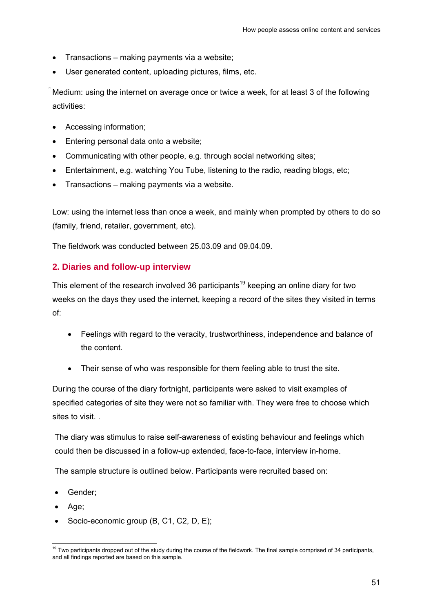- Transactions making payments via a website;
- User generated content, uploading pictures, films, etc.

Medium: using the internet on average once or twice a week, for at least 3 of the following activities:

- Accessing information;
- Entering personal data onto a website;
- Communicating with other people, e.g. through social networking sites;
- Entertainment, e.g. watching You Tube, listening to the radio, reading blogs, etc;
- Transactions making payments via a website.

Low: using the internet less than once a week, and mainly when prompted by others to do so (family, friend, retailer, government, etc).

The fieldwork was conducted between 25.03.09 and 09.04.09.

## **2. Diaries and follow-up interview**

This element of the research involved 36 participants<sup>19</sup> keeping an online diary for two weeks on the days they used the internet, keeping a record of the sites they visited in terms of:

- Feelings with regard to the veracity, trustworthiness, independence and balance of the content.
- Their sense of who was responsible for them feeling able to trust the site.

During the course of the diary fortnight, participants were asked to visit examples of specified categories of site they were not so familiar with. They were free to choose which sites to visit.

The diary was stimulus to raise self-awareness of existing behaviour and feelings which could then be discussed in a follow-up extended, face-to-face, interview in-home.

The sample structure is outlined below. Participants were recruited based on:

- Gender;
- Age;
- Socio-economic group (B, C1, C2, D, E);

<sup>1</sup> <sup>19</sup> Two participants dropped out of the study during the course of the fieldwork. The final sample comprised of 34 participants, and all findings reported are based on this sample.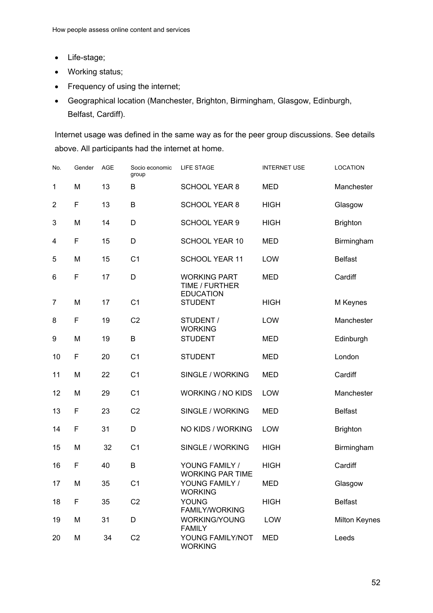- Life-stage;
- Working status;
- Frequency of using the internet;
- Geographical location (Manchester, Brighton, Birmingham, Glasgow, Edinburgh, Belfast, Cardiff).

Internet usage was defined in the same way as for the peer group discussions. See details above. All participants had the internet at home.

| No.            | Gender       | AGE | Socio economic<br>group | LIFE STAGE                                | <b>INTERNET USE</b> | <b>LOCATION</b>      |
|----------------|--------------|-----|-------------------------|-------------------------------------------|---------------------|----------------------|
| $\mathbf 1$    | M            | 13  | B                       | <b>SCHOOL YEAR 8</b>                      | <b>MED</b>          | Manchester           |
| $\overline{c}$ | F            | 13  | B                       | <b>SCHOOL YEAR 8</b>                      | <b>HIGH</b>         | Glasgow              |
| 3              | M            | 14  | D                       | <b>SCHOOL YEAR 9</b>                      | <b>HIGH</b>         | <b>Brighton</b>      |
| 4              | $\mathsf F$  | 15  | D                       | <b>SCHOOL YEAR 10</b>                     | <b>MED</b>          | Birmingham           |
| 5              | M            | 15  | C <sub>1</sub>          | <b>SCHOOL YEAR 11</b>                     | LOW                 | <b>Belfast</b>       |
| 6              | $\mathsf F$  | 17  | D                       | <b>WORKING PART</b><br>TIME / FURTHER     | <b>MED</b>          | Cardiff              |
| $\overline{7}$ | M            | 17  | C <sub>1</sub>          | <b>EDUCATION</b><br><b>STUDENT</b>        | <b>HIGH</b>         | M Keynes             |
| 8              | $\mathsf F$  | 19  | C <sub>2</sub>          | STUDENT /<br><b>WORKING</b>               | LOW                 | Manchester           |
| 9              | M            | 19  | B                       | <b>STUDENT</b>                            | <b>MED</b>          | Edinburgh            |
| 10             | $\mathsf F$  | 20  | C <sub>1</sub>          | <b>STUDENT</b>                            | <b>MED</b>          | London               |
| 11             | M            | 22  | C <sub>1</sub>          | SINGLE / WORKING                          | <b>MED</b>          | Cardiff              |
| 12             | M            | 29  | C <sub>1</sub>          | <b>WORKING / NO KIDS</b>                  | LOW                 | Manchester           |
| 13             | F            | 23  | C <sub>2</sub>          | SINGLE / WORKING                          | <b>MED</b>          | <b>Belfast</b>       |
| 14             | $\mathsf{F}$ | 31  | D                       | NO KIDS / WORKING                         | LOW                 | <b>Brighton</b>      |
| 15             | M            | 32  | C <sub>1</sub>          | SINGLE / WORKING                          | <b>HIGH</b>         | Birmingham           |
| 16             | F            | 40  | B                       | YOUNG FAMILY /<br><b>WORKING PAR TIME</b> | <b>HIGH</b>         | Cardiff              |
| 17             | M            | 35  | C <sub>1</sub>          | YOUNG FAMILY /<br><b>WORKING</b>          | <b>MED</b>          | Glasgow              |
| 18             | F            | 35  | C <sub>2</sub>          | <b>YOUNG</b><br><b>FAMILY/WORKING</b>     | <b>HIGH</b>         | <b>Belfast</b>       |
| 19             | M            | 31  | D                       | <b>WORKING/YOUNG</b><br><b>FAMILY</b>     | LOW                 | <b>Milton Keynes</b> |
| 20             | M            | 34  | C <sub>2</sub>          | YOUNG FAMILY/NOT<br><b>WORKING</b>        | <b>MED</b>          | Leeds                |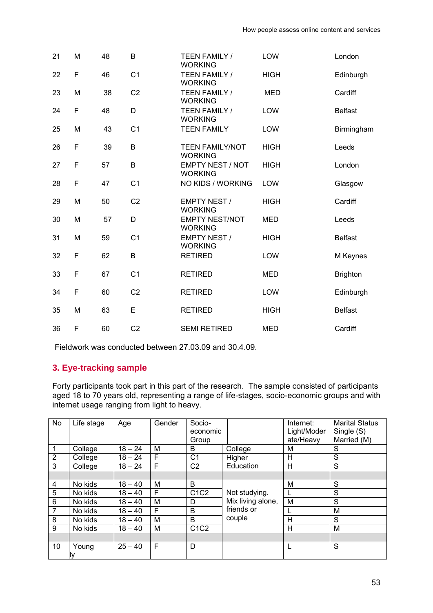| 21 | M | 48 | B              | TEEN FAMILY /<br><b>WORKING</b>           | LOW         | London          |
|----|---|----|----------------|-------------------------------------------|-------------|-----------------|
| 22 | F | 46 | C <sub>1</sub> | TEEN FAMILY /<br><b>WORKING</b>           | <b>HIGH</b> | Edinburgh       |
| 23 | M | 38 | C <sub>2</sub> | <b>TEEN FAMILY /</b><br><b>WORKING</b>    | MED         | Cardiff         |
| 24 | F | 48 | D              | <b>TEEN FAMILY /</b><br><b>WORKING</b>    | <b>LOW</b>  | <b>Belfast</b>  |
| 25 | M | 43 | C <sub>1</sub> | <b>TEEN FAMILY</b>                        | <b>LOW</b>  | Birmingham      |
| 26 | F | 39 | B              | <b>TEEN FAMILY/NOT</b><br><b>WORKING</b>  | <b>HIGH</b> | Leeds           |
| 27 | F | 57 | B              | <b>EMPTY NEST / NOT</b><br><b>WORKING</b> | <b>HIGH</b> | London          |
| 28 | F | 47 | C <sub>1</sub> | NO KIDS / WORKING                         | LOW         | Glasgow         |
| 29 | M | 50 | C <sub>2</sub> | <b>EMPTY NEST/</b><br><b>WORKING</b>      | <b>HIGH</b> | Cardiff         |
| 30 | M | 57 | D              | <b>EMPTY NEST/NOT</b><br><b>WORKING</b>   | <b>MED</b>  | Leeds           |
| 31 | M | 59 | C <sub>1</sub> | <b>EMPTY NEST/</b><br><b>WORKING</b>      | <b>HIGH</b> | <b>Belfast</b>  |
| 32 | F | 62 | B              | <b>RETIRED</b>                            | LOW         | M Keynes        |
| 33 | F | 67 | C <sub>1</sub> | <b>RETIRED</b>                            | <b>MED</b>  | <b>Brighton</b> |
| 34 | F | 60 | C <sub>2</sub> | <b>RETIRED</b>                            | LOW         | Edinburgh       |
| 35 | M | 63 | E              | <b>RETIRED</b>                            | <b>HIGH</b> | <b>Belfast</b>  |
| 36 | F | 60 | C <sub>2</sub> | <b>SEMI RETIRED</b>                       | <b>MED</b>  | Cardiff         |

Fieldwork was conducted between 27.03.09 and 30.4.09.

# **3. Eye-tracking sample**

Forty participants took part in this part of the research. The sample consisted of participants aged 18 to 70 years old, representing a range of life-stages, socio-economic groups and with internet usage ranging from light to heavy.

| <b>No</b>               | Life stage | Age       | Gender | Socio-<br>economic<br>Group   |                   | Internet:<br>Light/Moder<br>ate/Heavy | <b>Marital Status</b><br>Single (S)<br>Married (M) |
|-------------------------|------------|-----------|--------|-------------------------------|-------------------|---------------------------------------|----------------------------------------------------|
| 1                       | College    | $18 - 24$ | М      | B                             | College           | M                                     | S                                                  |
| $\overline{2}$          | College    | $18 - 24$ | F      | C <sub>1</sub>                | Higher            | н                                     | S                                                  |
| 3                       | College    | $18 - 24$ | F      | C <sub>2</sub>                | Education         | H                                     | S                                                  |
|                         |            |           |        |                               |                   |                                       |                                                    |
| $\overline{\mathbf{4}}$ | No kids    | $18 - 40$ | M      | B                             |                   | M                                     | S                                                  |
| 5                       | No kids    | $18 - 40$ | E      | C <sub>1</sub> C <sub>2</sub> | Not studying.     |                                       | S                                                  |
| 6                       | No kids    | $18 - 40$ | М      | D                             | Mix living alone, | M                                     | S                                                  |
| $\overline{7}$          | No kids    | $18 - 40$ | F      | B                             | friends or        |                                       | M                                                  |
| 8                       | No kids    | $18 - 40$ | м      | B                             | couple            | H                                     | S                                                  |
| 9                       | No kids    | $18 - 40$ | M      | C <sub>1</sub> C <sub>2</sub> |                   | н                                     | M                                                  |
|                         |            |           |        |                               |                   |                                       |                                                    |
| 10                      | Young      | $25 - 40$ | F      | D                             |                   |                                       | S                                                  |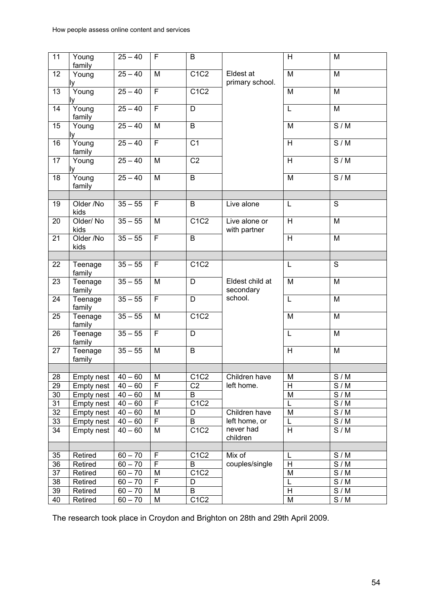| $\overline{11}$ | Young<br>family   | $25 - 40$ | F                       | B                             |                               | H | M              |
|-----------------|-------------------|-----------|-------------------------|-------------------------------|-------------------------------|---|----------------|
| 12              | Young             | $25 - 40$ | M                       | C1C2                          | Eldest at<br>primary school.  | M | $\overline{M}$ |
| 13              | Young             | $25 - 40$ | F                       | C1C2                          |                               | M | M              |
| 14              | Young             | $25 - 40$ | $\overline{F}$          | D                             |                               | L | M              |
| 15              | family<br>Young   | $25 - 40$ | M                       | $\overline{B}$                |                               | M | S/N            |
| 16              | Young             | $25 - 40$ | $\overline{F}$          | $\overline{C1}$               |                               | H | S/M            |
| 17              | family<br>Young   | $25 - 40$ | $\overline{\mathsf{M}}$ | $\overline{C2}$               |                               | H | S/M            |
| 18              | Young             | $25 - 40$ | M                       | B                             |                               | M | S/M            |
|                 | family            |           |                         |                               |                               |   |                |
| 19              | Older /No         | $35 - 55$ | F                       | B                             | Live alone                    | L | $\overline{s}$ |
|                 | kids              |           |                         |                               |                               |   |                |
| 20              | Older/No<br>kids  | $35 - 55$ | M                       | C1C2                          | Live alone or<br>with partner | H | M              |
| 21              | Older /No<br>kids | $35 - 55$ | F                       | B                             |                               | H | M              |
|                 |                   |           |                         |                               |                               |   |                |
| 22              | Teenage<br>family | $35 - 55$ | F                       | C1C2                          |                               | L | S              |
| 23              | Teenage<br>family | $35 - 55$ | M                       | D                             | Eldest child at<br>secondary  | M | M              |
| 24              | Teenage<br>family | $35 - 55$ | $\overline{\mathsf{F}}$ | $\overline{D}$                | school.                       | L | $\overline{M}$ |
| 25              | Teenage<br>family | $35 - 55$ | M                       | C1C2                          |                               | M | M              |
| 26              | Teenage<br>family | $35 - 55$ | F                       | D                             |                               | L | M              |
| 27              | Teenage<br>family | $35 - 55$ | M                       | B                             |                               | H | M              |
|                 |                   |           |                         |                               |                               |   |                |
| 28              | Empty nest        | $40 - 60$ | M                       | C1C2                          | Children have                 | M | S/M            |
| 29              | Empty nest        | $40 - 60$ | $\overline{F}$          | C <sub>2</sub>                | left home.                    | H | S/M            |
| 30              | Empty nest        | $40 - 60$ | M                       | B                             |                               | M | S/M            |
| 31              | Empty nest        | $40 - 60$ | $\overline{F}$          | C1C2                          |                               | L | S/M            |
| 32              | Empty nest        | $40 - 60$ | M                       | D                             | Children have                 | M | S/M            |
| 33              | Empty nest        | $40 - 60$ | F                       | $\overline{B}$                | left home, or                 | L | S/M            |
| 34              | Empty nest        | $40 - 60$ | M                       | C1C2                          | never had<br>children         | H | S/M            |
|                 |                   |           |                         |                               |                               |   |                |
| 35              | Retired           | $60 - 70$ | F                       | C <sub>1</sub> C <sub>2</sub> | Mix of                        | L | S/M            |
| 36              | Retired           | $60 - 70$ | F                       | B                             | couples/single                | H | S/N            |
| 37              | Retired           | $60 - 70$ | M                       | C1C2                          |                               | M | S/M            |
| 38              | Retired           | $60 - 70$ | $\overline{F}$          | D                             |                               |   | S/M            |
| 39              | Retired           | $60 - 70$ | M                       | B                             |                               | Н | S/M            |
| 40              | Retired           | $60 - 70$ | M                       | C1C2                          |                               | M | S/M            |

The research took place in Croydon and Brighton on 28th and 29th April 2009.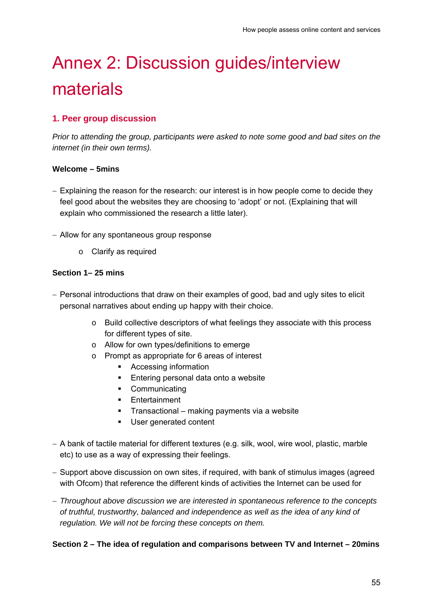# Annex 2: Discussion guides/interview materials

# **1. Peer group discussion**

*Prior to attending the group, participants were asked to note some good and bad sites on the internet (in their own terms).* 

## **Welcome – 5mins**

- Explaining the reason for the research: our interest is in how people come to decide they feel good about the websites they are choosing to 'adopt' or not. (Explaining that will explain who commissioned the research a little later).
- Allow for any spontaneous group response
	- o Clarify as required

## **Section 1– 25 mins**

- Personal introductions that draw on their examples of good, bad and ugly sites to elicit personal narratives about ending up happy with their choice.
	- o Build collective descriptors of what feelings they associate with this process for different types of site.
	- o Allow for own types/definitions to emerge
	- o Prompt as appropriate for 6 areas of interest
		- **Accessing information**
		- **Entering personal data onto a website**
		- Communicating
		- **Entertainment**
		- **Transactional making payments via a website**
		- **User generated content**
- A bank of tactile material for different textures (e.g. silk, wool, wire wool, plastic, marble etc) to use as a way of expressing their feelings.
- Support above discussion on own sites, if required, with bank of stimulus images (agreed with Ofcom) that reference the different kinds of activities the Internet can be used for
- *Throughout above discussion we are interested in spontaneous reference to the concepts of truthful, trustworthy, balanced and independence as well as the idea of any kind of regulation. We will not be forcing these concepts on them.*

## **Section 2 – The idea of regulation and comparisons between TV and Internet – 20mins**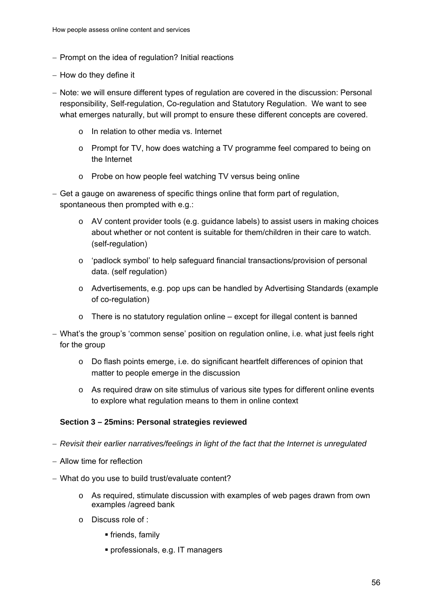- $-$  Prompt on the idea of regulation? Initial reactions
- $-$  How do they define it
- Note: we will ensure different types of regulation are covered in the discussion: Personal responsibility, Self-regulation, Co-regulation and Statutory Regulation. We want to see what emerges naturally, but will prompt to ensure these different concepts are covered.
	- o In relation to other media vs. Internet
	- o Prompt for TV, how does watching a TV programme feel compared to being on the Internet
	- o Probe on how people feel watching TV versus being online
- $-$  Get a gauge on awareness of specific things online that form part of regulation, spontaneous then prompted with e.g.:
	- o AV content provider tools (e.g. guidance labels) to assist users in making choices about whether or not content is suitable for them/children in their care to watch. (self-regulation)
	- o 'padlock symbol' to help safeguard financial transactions/provision of personal data. (self regulation)
	- o Advertisements, e.g. pop ups can be handled by Advertising Standards (example of co-regulation)
	- $\circ$  There is no statutory regulation online except for illegal content is banned
- What's the group's 'common sense' position on regulation online, i.e. what just feels right for the group
	- o Do flash points emerge, i.e. do significant heartfelt differences of opinion that matter to people emerge in the discussion
	- o As required draw on site stimulus of various site types for different online events to explore what regulation means to them in online context

## **Section 3 – 25mins: Personal strategies reviewed**

- *Revisit their earlier narratives/feelings in light of the fact that the Internet is unregulated*
- Allow time for reflection
- What do you use to build trust/evaluate content?
	- o As required, stimulate discussion with examples of web pages drawn from own examples /agreed bank
	- o Discuss role of :
		- **Firical Fidencial** Financies
		- professionals, e.g. IT managers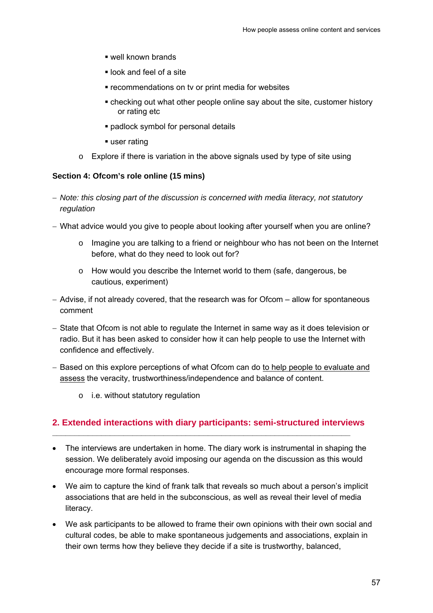- well known brands
- look and feel of a site
- recommendations on tv or print media for websites
- checking out what other people online say about the site, customer history or rating etc
- padlock symbol for personal details
- user rating
- o Explore if there is variation in the above signals used by type of site using

#### **Section 4: Ofcom's role online (15 mins)**

- *Note: this closing part of the discussion is concerned with media literacy, not statutory regulation*
- What advice would you give to people about looking after yourself when you are online?
	- o Imagine you are talking to a friend or neighbour who has not been on the Internet before, what do they need to look out for?
	- o How would you describe the Internet world to them (safe, dangerous, be cautious, experiment)
- Advise, if not already covered, that the research was for Ofcom allow for spontaneous comment
- State that Ofcom is not able to regulate the Internet in same way as it does television or radio. But it has been asked to consider how it can help people to use the Internet with confidence and effectively.
- Based on this explore perceptions of what Ofcom can do to help people to evaluate and assess the veracity, trustworthiness/independence and balance of content.
	- o i.e. without statutory regulation

## **2. Extended interactions with diary participants: semi-structured interviews**

**\_\_\_\_\_\_\_\_\_\_\_\_\_\_\_\_\_\_\_\_\_\_\_\_\_\_\_\_\_\_\_\_\_\_\_\_\_\_\_\_\_\_\_\_\_\_\_\_\_\_\_\_\_\_\_\_\_\_\_\_\_\_\_\_\_\_\_** 

- The interviews are undertaken in home. The diary work is instrumental in shaping the session. We deliberately avoid imposing our agenda on the discussion as this would encourage more formal responses.
- We aim to capture the kind of frank talk that reveals so much about a person's implicit associations that are held in the subconscious, as well as reveal their level of media literacy.
- We ask participants to be allowed to frame their own opinions with their own social and cultural codes, be able to make spontaneous judgements and associations, explain in their own terms how they believe they decide if a site is trustworthy, balanced,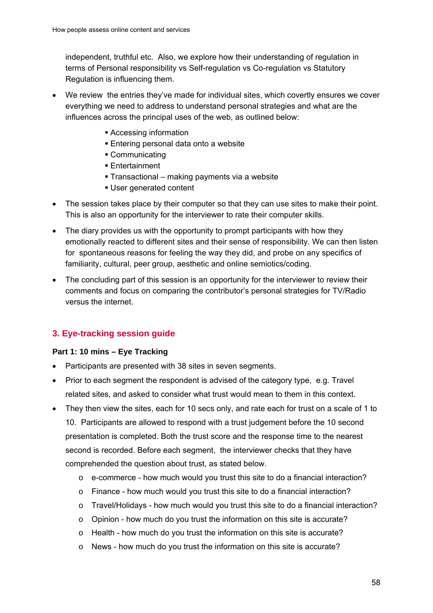independent, truthful etc. Also, we explore how their understanding of regulation in terms of Personal responsibility vs Self-regulation vs Co-regulation vs Statutory Regulation is influencing them.

- We review the entries they've made for individual sites, which covertly ensures we cover everything we need to address to understand personal strategies and what are the influences across the principal uses of the web, as outlined below:
	- Accessing information
	- **Entering personal data onto a website**
	- Communicating
	- Entertainment
	- Transactional making payments via a website
	- User generated content
- The session takes place by their computer so that they can use sites to make their point. This is also an opportunity for the interviewer to rate their computer skills.
- The diary provides us with the opportunity to prompt participants with how they emotionally reacted to different sites and their sense of responsibility. We can then listen for spontaneous reasons for feeling the way they did, and probe on any specifics of familiarity, cultural, peer group, aesthetic and online semiotics/coding.
- The concluding part of this session is an opportunity for the interviewer to review their comments and focus on comparing the contributor's personal strategies for TV/Radio versus the internet.

# **3. Eye-tracking session guide**

#### **Part 1: 10 mins – Eye Tracking**

- Participants are presented with 38 sites in seven segments.
- Prior to each segment the respondent is advised of the category type, e.g. Travel related sites, and asked to consider what trust would mean to them in this context.
- They then view the sites, each for 10 secs only, and rate each for trust on a scale of 1 to 10. Participants are allowed to respond with a trust judgement before the 10 second presentation is completed. Both the trust score and the response time to the nearest second is recorded. Before each segment, the interviewer checks that they have comprehended the question about trust, as stated below.
	- $\circ$  e-commerce how much would you trust this site to do a financial interaction?
	- o Finance how much would you trust this site to do a financial interaction?
	- o Travel/Holidays how much would you trust this site to do a financial interaction?
	- o Opinion how much do you trust the information on this site is accurate?
	- o Health how much do you trust the information on this site is accurate?
	- o News how much do you trust the information on this site is accurate?